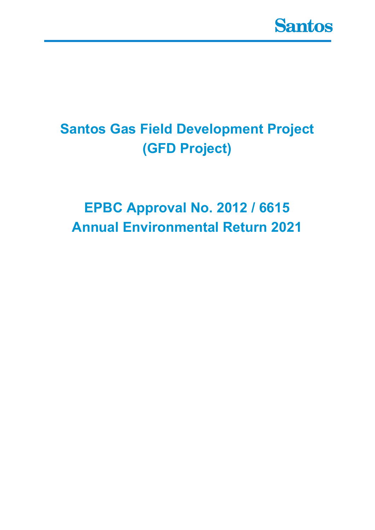

## **Santos Gas Field Development Project (GFD Project)**

## **EPBC Approval No. 2012 / 6615 Annual Environmental Return 2021**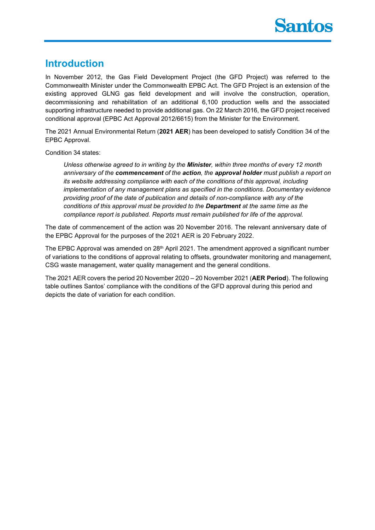

## **Introduction**

In November 2012, the Gas Field Development Project (the GFD Project) was referred to the Commonwealth Minister under the Commonwealth EPBC Act. The GFD Project is an extension of the existing approved GLNG gas field development and will involve the construction, operation, decommissioning and rehabilitation of an additional 6,100 production wells and the associated supporting infrastructure needed to provide additional gas. On 22 March 2016, the GFD project received conditional approval (EPBC Act Approval 2012/6615) from the Minister for the Environment.

The 2021 Annual Environmental Return (**2021 AER**) has been developed to satisfy Condition 34 of the EPBC Approval.

Condition 34 states:

*Unless otherwise agreed to in writing by the Minister, within three months of every 12 month anniversary of the commencement of the action, the approval holder must publish a report on its website addressing compliance with each of the conditions of this approval, including implementation of any management plans as specified in the conditions. Documentary evidence providing proof of the date of publication and details of non-compliance with any of the conditions of this approval must be provided to the Department at the same time as the compliance report is published. Reports must remain published for life of the approval.* 

The date of commencement of the action was 20 November 2016. The relevant anniversary date of the EPBC Approval for the purposes of the 2021 AER is 20 February 2022.

The EPBC Approval was amended on 28<sup>th</sup> April 2021. The amendment approved a significant number of variations to the conditions of approval relating to offsets, groundwater monitoring and management, CSG waste management, water quality management and the general conditions.

The 2021 AER covers the period 20 November 2020 – 20 November 2021 (**AER Period**). The following table outlines Santos' compliance with the conditions of the GFD approval during this period and depicts the date of variation for each condition.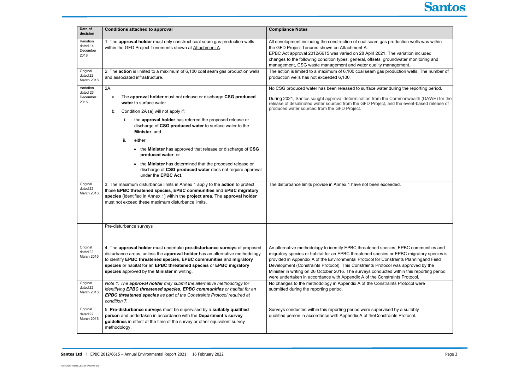| Date of                                   |                                                                                                                                                                                                                                                                                                                                                         |                                                                                                                                                                                                                                                                                                                                                                                                                                                                                                                                             |
|-------------------------------------------|---------------------------------------------------------------------------------------------------------------------------------------------------------------------------------------------------------------------------------------------------------------------------------------------------------------------------------------------------------|---------------------------------------------------------------------------------------------------------------------------------------------------------------------------------------------------------------------------------------------------------------------------------------------------------------------------------------------------------------------------------------------------------------------------------------------------------------------------------------------------------------------------------------------|
| decision                                  | <b>Conditions attached to approval</b>                                                                                                                                                                                                                                                                                                                  | <b>Compliance Notes</b>                                                                                                                                                                                                                                                                                                                                                                                                                                                                                                                     |
| Variation<br>dated 14<br>December<br>2018 | 1. The approval holder must only construct coal seam gas production wells<br>within the GFD Project Tenements shown at Attachment A.                                                                                                                                                                                                                    | All development including the construction of coal seam gas production wells was within<br>the GFD Project Tenures shown on Attachment A.<br>EPBC Act approval 2012/6615 was varied on 28 April 2021. The variation included<br>changes to the following condition types; general, offsets, groundwater monitoring and<br>management, CSG waste management and water quality management.                                                                                                                                                    |
| Original<br>dated 22<br>March 2016        | 2. The action is limited to a maximum of 6,100 coal seam gas production wells<br>and associated infrastructure.                                                                                                                                                                                                                                         | The action is limited to a maximum of 6,100 coal seam gas production wells. The number of<br>production wells has not exceeded 6,100.                                                                                                                                                                                                                                                                                                                                                                                                       |
| Variation<br>dated 23<br>December<br>2016 | 2A.<br>The approval holder must not release or discharge CSG produced<br>a.<br>water to surface water                                                                                                                                                                                                                                                   | No CSG produced water has been released to surface water during the reporting period.<br>During 2021, Santos sought approval determination from the Commonwealth (DAWE) for the<br>release of desalinated water sourced from the GFD Project, and the event-based release of                                                                                                                                                                                                                                                                |
|                                           | Condition 2A (a) will not apply if:<br>b.                                                                                                                                                                                                                                                                                                               | produced water sourced from the GFD Project.                                                                                                                                                                                                                                                                                                                                                                                                                                                                                                |
|                                           | the approval holder has referred the proposed release or<br>i.<br>discharge of CSG produced water to surface water to the<br>Minister; and                                                                                                                                                                                                              |                                                                                                                                                                                                                                                                                                                                                                                                                                                                                                                                             |
|                                           | ii.<br>either:                                                                                                                                                                                                                                                                                                                                          |                                                                                                                                                                                                                                                                                                                                                                                                                                                                                                                                             |
|                                           | • the Minister has approved that release or discharge of CSG<br>produced water; or                                                                                                                                                                                                                                                                      |                                                                                                                                                                                                                                                                                                                                                                                                                                                                                                                                             |
|                                           | • the Minister has determined that the proposed release or<br>discharge of CSG produced water does not require approval<br>under the EPBC Act.                                                                                                                                                                                                          |                                                                                                                                                                                                                                                                                                                                                                                                                                                                                                                                             |
| Original<br>dated 22<br>March 2016        | 3. The maximum disturbance limits in Annex 1 apply to the action to protect<br>those EPBC threatened species, EPBC communities and EPBC migratory<br>species (identified in Annex 1) within the project area. The approval holder<br>must not exceed these maximum disturbance limits.                                                                  | The disturbance limits provide in Annex 1 have not been exceeded.                                                                                                                                                                                                                                                                                                                                                                                                                                                                           |
|                                           | Pre-disturbance surveys                                                                                                                                                                                                                                                                                                                                 |                                                                                                                                                                                                                                                                                                                                                                                                                                                                                                                                             |
|                                           |                                                                                                                                                                                                                                                                                                                                                         |                                                                                                                                                                                                                                                                                                                                                                                                                                                                                                                                             |
| Original<br>dated 22<br>March 2016        | 4. The approval holder must undertake pre-disturbance surveys of proposed<br>disturbance areas, unless the approval holder has an alternative methodology<br>to identify EPBC threatened species, EPBC communities and migratory<br>species or habitat for an EPBC threatened species or EPBC migratory<br>species approved by the Minister in writing. | An alternative methodology to identify EPBC threatened species, EPBC communities and<br>migratory species or habitat for an EPBC threatened species or EPBC migratory species is<br>provided in Appendix A of the Environmental Protocol for Constraints Planningand Field<br>Development (Constraints Protocol). This Constraints Protocol was approved by the<br>Minister in writing on 26 October 2016. The surveys conducted within this reporting period<br>were undertaken in accordance with Appendix A of the Constraints Protocol. |
| Original<br>dated 22<br>March 2016        | Note 1: The approval holder may submit the alternative methodology for<br>identifying EPBC threatened species, EPBC communities or habitat for an<br>EPBC threatened species as part of the Constraints Protocol required at<br>condition 7.                                                                                                            | No changes to the methodology in Appendix A of the Constraints Protocol were<br>submitted during the reporting period.                                                                                                                                                                                                                                                                                                                                                                                                                      |
| Original<br>dated 22<br>March 2016        | 5. Pre-disturbance surveys must be supervised by a suitably qualified<br>person and undertaken in accordance with the Department's survey<br>guidelines in effect at the time of the survey or other equivalent survey<br>methodology.                                                                                                                  | Surveys conducted within this reporting period were supervised by a suitably<br>qualified person in accordance with Appendix A of the Constraints Protocol.                                                                                                                                                                                                                                                                                                                                                                                 |



| tion wells was within:                               |  |
|------------------------------------------------------|--|
| riation included<br>ater monitoring and<br>nent.     |  |
| on wells. The number of                              |  |
| the reporting period.                                |  |
| nonwealth (DAWE) for the<br>e event-based release of |  |
|                                                      |  |
|                                                      |  |
|                                                      |  |
|                                                      |  |
|                                                      |  |
|                                                      |  |
|                                                      |  |
|                                                      |  |
|                                                      |  |
| PBC communities and<br>BC migratory species is       |  |
| ts Planningand Field<br>approved by the              |  |
| in this reporting period<br>Protocol.                |  |
| rotocol were                                         |  |
| a suitably<br>rotocol.                               |  |
|                                                      |  |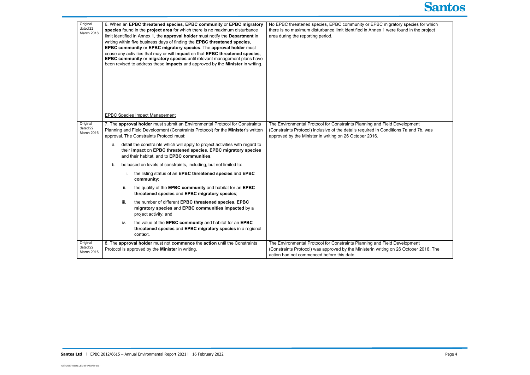|                                    | Original<br>dated 22<br>March 2016                                                                                                                                                                           | 6. When an EPBC threatened species, EPBC community or EPBC migratory<br>species found in the project area for which there is no maximum disturbance<br>limit identified in Annex 1, the approval holder must notify the Department in<br>writing within five business days of finding the EPBC threatened species,<br>EPBC community or EPBC migratory species. The approval holder must<br>cease any activities that may or will impact on that EPBC threatened species,<br>EPBC community or migratory species until relevant management plans have<br>been revised to address these impacts and approved by the Minister in writing. | No EPBC threatened species, EPBC community or EPBC migrator<br>there is no maximum disturbance limit identified in Annex 1 were fo<br>area during the reporting period.                |
|------------------------------------|--------------------------------------------------------------------------------------------------------------------------------------------------------------------------------------------------------------|-----------------------------------------------------------------------------------------------------------------------------------------------------------------------------------------------------------------------------------------------------------------------------------------------------------------------------------------------------------------------------------------------------------------------------------------------------------------------------------------------------------------------------------------------------------------------------------------------------------------------------------------|----------------------------------------------------------------------------------------------------------------------------------------------------------------------------------------|
|                                    |                                                                                                                                                                                                              | <b>EPBC Species Impact Management</b>                                                                                                                                                                                                                                                                                                                                                                                                                                                                                                                                                                                                   |                                                                                                                                                                                        |
| Original<br>dated 22<br>March 2016 | 7. The approval holder must submit an Environmental Protocol for Constraints<br>Planning and Field Development (Constraints Protocol) for the Minister's written<br>approval. The Constraints Protocol must: | The Environmental Protocol for Constraints Planning and Field Dev<br>(Constraints Protocol) inclusive of the details required in Conditions<br>approved by the Minister in writing on 26 October 2016.                                                                                                                                                                                                                                                                                                                                                                                                                                  |                                                                                                                                                                                        |
|                                    |                                                                                                                                                                                                              | detail the constraints which will apply to project activities with regard to<br>а.<br>their impact on EPBC threatened species, EPBC migratory species<br>and their habitat, and to EPBC communities.                                                                                                                                                                                                                                                                                                                                                                                                                                    |                                                                                                                                                                                        |
|                                    |                                                                                                                                                                                                              | be based on levels of constraints, including, but not limited to:<br>b.                                                                                                                                                                                                                                                                                                                                                                                                                                                                                                                                                                 |                                                                                                                                                                                        |
|                                    |                                                                                                                                                                                                              | the listing status of an EPBC threatened species and EPBC<br>community;                                                                                                                                                                                                                                                                                                                                                                                                                                                                                                                                                                 |                                                                                                                                                                                        |
|                                    |                                                                                                                                                                                                              | ii.<br>the quality of the EPBC community and habitat for an EPBC<br>threatened species and EPBC migratory species;                                                                                                                                                                                                                                                                                                                                                                                                                                                                                                                      |                                                                                                                                                                                        |
|                                    |                                                                                                                                                                                                              | iii.<br>the number of different EPBC threatened species, EPBC<br>migratory species and EPBC communities impacted by a<br>project activity; and                                                                                                                                                                                                                                                                                                                                                                                                                                                                                          |                                                                                                                                                                                        |
|                                    |                                                                                                                                                                                                              | the value of the EPBC community and habitat for an EPBC<br>iv.<br>threatened species and EPBC migratory species in a regional<br>context.                                                                                                                                                                                                                                                                                                                                                                                                                                                                                               |                                                                                                                                                                                        |
|                                    | Original<br>dated 22<br>March 2016                                                                                                                                                                           | 8. The approval holder must not commence the action until the Constraints<br>Protocol is approved by the Minister in writing.                                                                                                                                                                                                                                                                                                                                                                                                                                                                                                           | The Environmental Protocol for Constraints Planning and Field Dev<br>(Constraints Protocol) was approved by the Ministerin writing on 26<br>action had not commenced before this date. |



Interatened species for which  $\frac{1}{2}$  ound in the project

velopment , .<br>s 7a and 7b, was

velopment G October 2016. The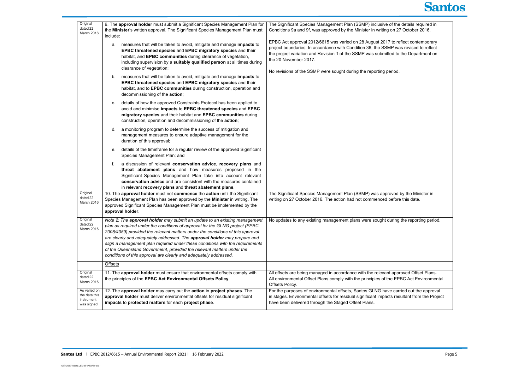| Original<br>dated 22<br>March 2016                        | 9. The approval holder must submit a Significant Species Management Plan for<br>the Minister's written approval. The Significant Species Management Plan must<br>include:                                                                                                                                                                                                                                                                                                                                                                                | The Significant Species Management Plan (SSMP) inclusive of the o<br>Conditions 9a and 9f, was approved by the Minister in writing on 27                                                                                                                                                                  |
|-----------------------------------------------------------|----------------------------------------------------------------------------------------------------------------------------------------------------------------------------------------------------------------------------------------------------------------------------------------------------------------------------------------------------------------------------------------------------------------------------------------------------------------------------------------------------------------------------------------------------------|-----------------------------------------------------------------------------------------------------------------------------------------------------------------------------------------------------------------------------------------------------------------------------------------------------------|
|                                                           | measures that will be taken to avoid, mitigate and manage impacts to<br>а.<br>EPBC threatened species and EPBC migratory species and their<br>habitat, and EPBC communities during clearance of vegetation,<br>including supervision by a suitably qualified person at all times during<br>clearance of vegetation;                                                                                                                                                                                                                                      | EPBC Act approval 2012/6615 was varied on 28 August 2017 to ref<br>project boundaries. In accordance with Condition 36, the SSMP was<br>the project variation and Revision 1 of the SSMP was submitted to t<br>the 20 November 2017.<br>No revisions of the SSMP were sought during the reporting period. |
|                                                           | measures that will be taken to avoid, mitigate and manage impacts to<br>b.<br>EPBC threatened species and EPBC migratory species and their<br>habitat, and to EPBC communities during construction, operation and<br>decommissioning of the action;                                                                                                                                                                                                                                                                                                      |                                                                                                                                                                                                                                                                                                           |
|                                                           | details of how the approved Constraints Protocol has been applied to<br>C.<br>avoid and minimise impacts to EPBC threatened species and EPBC<br>migratory species and their habitat and EPBC communities during<br>construction, operation and decommissioning of the action;                                                                                                                                                                                                                                                                            |                                                                                                                                                                                                                                                                                                           |
|                                                           | a monitoring program to determine the success of mitigation and<br>d.<br>management measures to ensure adaptive management for the<br>duration of this approval;                                                                                                                                                                                                                                                                                                                                                                                         |                                                                                                                                                                                                                                                                                                           |
|                                                           | details of the timeframe for a regular review of the approved Significant<br>е.<br>Species Management Plan; and                                                                                                                                                                                                                                                                                                                                                                                                                                          |                                                                                                                                                                                                                                                                                                           |
|                                                           | a discussion of relevant conservation advice, recovery plans and<br>f.<br>threat abatement plans and how measures proposed in the<br>Significant Species Management Plan take into account relevant<br>conservation advice and are consistent with the measures contained<br>in relevant recovery plans and threat abatement plans.                                                                                                                                                                                                                      |                                                                                                                                                                                                                                                                                                           |
| Original<br>dated 22<br>March 2016                        | 10. The approval holder must not commence the action until the Significant<br>Species Management Plan has been approved by the Minister in writing. The<br>approved Significant Species Management Plan must be implemented by the<br>approval holder.                                                                                                                                                                                                                                                                                                   | The Significant Species Management Plan (SSMP) was approved b<br>writing on 27 October 2016. The action had not commenced before                                                                                                                                                                          |
| Original<br>dated 22<br>March 2016                        | Note 2: The approval holder may submit an update to an existing management<br>plan as required under the conditions of approval for the GLNG project (EPBC<br>2008/4059) provided the relevant matters under the conditions of this approval<br>are clearly and adequately addressed. The approval holder may prepare and<br>align a management plan required under these conditions with the requirements<br>of the Queensland Government, provided the relevant matters under the<br>conditions of this approval are clearly and adequately addressed. | No updates to any existing management plans were sought during t                                                                                                                                                                                                                                          |
|                                                           | Offsets                                                                                                                                                                                                                                                                                                                                                                                                                                                                                                                                                  |                                                                                                                                                                                                                                                                                                           |
| Original<br>dated 22<br>March 2016                        | 11. The approval holder must ensure that environmental offsets comply with<br>the principles of the EPBC Act Environmental Offsets Policy.                                                                                                                                                                                                                                                                                                                                                                                                               | All offsets are being managed in accordance with the relevant appro<br>All environmental Offset Plans comply with the principles of the EPB<br>Offsets Policy.                                                                                                                                            |
| As varied on<br>the date this<br>instrument<br>was signed | 12. The approval holder may carry out the action in project phases. The<br>approval holder must deliver environmental offsets for residual significant<br>impacts to protected matters for each project phase.                                                                                                                                                                                                                                                                                                                                           | For the purposes of environmental offsets, Santos GLNG have carri<br>in stages. Environmental offsets for residual significant impacts resu<br>have been delivered through the Staged Offset Plans.                                                                                                       |



details required in Corditions 2016.

flect contemporary as revised to reflect the Department on

by the Minister in this date.

the reporting period.

Toved Offset Plans. **BC Act Environmental** 

 $\overline{\text{ried out the} }$  approval iltant from the Project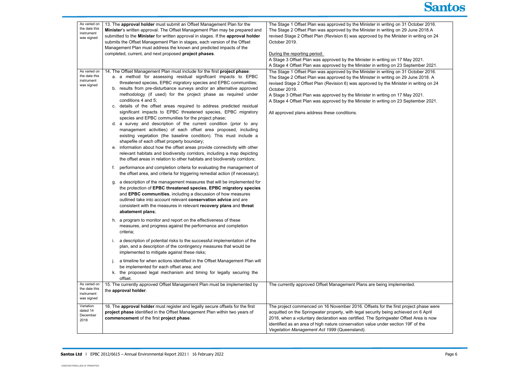| As varied on<br>the date this<br>instrument<br>was signed | 13. The approval holder must submit an Offset Management Plan for the<br>Minister's written approval. The Offset Management Plan may be prepared and<br>submitted to the Minister for written approval in stages. If the approval holder<br>submits the Offset Management Plan in stages, each version of the Offset<br>Management Plan must address the known and predicted impacts of the<br>completed, current, and next proposed project phases.                                                                                                                                                                                                                                                                                                                                                                                                                                                                                                                                                                                                                                                                                                                                                                                                                                                                                                                                                                                                                                                                                                                                                                                                                                                                                                                                                                                                                                                                                                                                                                                                                                                                                                                                        | The Stage 1 Offset Plan was approved by the Minister in writing on 31 October 2016.<br>The Stage 2 Offset Plan was approved by the Minister in writing on 29 June 2018.A<br>revised Stage 2 Offset Plan (Revision 6) was approved by the Minister in writing on 24<br>October 2019.<br>During the reporting period:<br>A Stage 3 Offset Plan was approved by the Minister in writing on 17 May 2021.<br>A Stage 4 Offset Plan was approved by the Minister in writing on 23 September 2021.                  |
|-----------------------------------------------------------|---------------------------------------------------------------------------------------------------------------------------------------------------------------------------------------------------------------------------------------------------------------------------------------------------------------------------------------------------------------------------------------------------------------------------------------------------------------------------------------------------------------------------------------------------------------------------------------------------------------------------------------------------------------------------------------------------------------------------------------------------------------------------------------------------------------------------------------------------------------------------------------------------------------------------------------------------------------------------------------------------------------------------------------------------------------------------------------------------------------------------------------------------------------------------------------------------------------------------------------------------------------------------------------------------------------------------------------------------------------------------------------------------------------------------------------------------------------------------------------------------------------------------------------------------------------------------------------------------------------------------------------------------------------------------------------------------------------------------------------------------------------------------------------------------------------------------------------------------------------------------------------------------------------------------------------------------------------------------------------------------------------------------------------------------------------------------------------------------------------------------------------------------------------------------------------------|--------------------------------------------------------------------------------------------------------------------------------------------------------------------------------------------------------------------------------------------------------------------------------------------------------------------------------------------------------------------------------------------------------------------------------------------------------------------------------------------------------------|
| As varied on<br>the date this<br>instrument<br>was signed | 14. The Offset Management Plan must include for the first project phase:<br>a. a method for assessing residual significant impacts to EPBC<br>threatened species, EPBC migratory species and EPBC communities;<br>b. results from pre-disturbance surveys and/or an alternative approved<br>methodology (if used) for the project phase as required under<br>conditions 4 and 5;<br>c. details of the offset areas required to address predicted residual<br>significant impacts to EPBC threatened species, EPBC migratory<br>species and EPBC communities for the project phase;<br>d. a survey and description of the current condition (prior to any<br>management activities) of each offset area proposed, including<br>existing vegetation (the baseline condition). This must include a<br>shapefile of each offset property boundary;<br>e. information about how the offset areas provide connectivity with other<br>relevant habitats and biodiversity corridors, including a map depicting<br>the offset areas in relation to other habitats and biodiversity corridors;<br>performance and completion criteria for evaluating the management of<br>the offset area, and criteria for triggering remedial action (if necessary);<br>g. a description of the management measures that will be implemented for<br>the protection of EPBC threatened species, EPBC migratory species<br>and EPBC communities, including a discussion of how measures<br>outlined take into account relevant conservation advice and are<br>consistent with the measures in relevant recovery plans and threat<br>abatement plans;<br>h. a program to monitor and report on the effectiveness of these<br>measures, and progress against the performance and completion<br>criteria;<br>a description of potential risks to the successful implementation of the<br>plan, and a description of the contingency measures that would be<br>implemented to mitigate against these risks;<br>a timeline for when actions identified in the Offset Management Plan will<br>be implemented for each offset area; and<br>the proposed legal mechanism and timing for legally securing the<br>k.<br>offset. | The Stage 1 Offset Plan was approved by the Minister in writing on 31 October 2016.<br>The Stage 2 Offset Plan was approved by the Minister in writing on 29 June 2018. A<br>revised Stage 2 Offset Plan (Revision 6) was approved by the Minister in writing on 24<br>October 2019.<br>A Stage 3 Offset Plan was approved by the Minister in writing on 17 May 2021.<br>A Stage 4 Offset Plan was approved by the Minister in writing on 23 September 2021.<br>All approved plans address these conditions. |
| As varied on<br>the date this<br>instrument<br>was signed | 15. The currently approved Offset Management Plan must be implemented by<br>the approval holder.                                                                                                                                                                                                                                                                                                                                                                                                                                                                                                                                                                                                                                                                                                                                                                                                                                                                                                                                                                                                                                                                                                                                                                                                                                                                                                                                                                                                                                                                                                                                                                                                                                                                                                                                                                                                                                                                                                                                                                                                                                                                                            | The currently approved Offset Management Plans are being implemented.                                                                                                                                                                                                                                                                                                                                                                                                                                        |
| Variation<br>dated 14<br>December<br>2018                 | 16. The approval holder must register and legally secure offsets for the first<br>project phase identified in the Offset Management Plan within two years of<br>commencement of the first project phase.                                                                                                                                                                                                                                                                                                                                                                                                                                                                                                                                                                                                                                                                                                                                                                                                                                                                                                                                                                                                                                                                                                                                                                                                                                                                                                                                                                                                                                                                                                                                                                                                                                                                                                                                                                                                                                                                                                                                                                                    | The project commenced on 16 November 2016. Offsets for the first project phase were<br>acquitted on the Springwater property, with legal security being achieved on 6 April<br>2018, when a voluntary declaration was certified. The Springwater Offset Area is now<br>identified as an area of high nature conservation value under section 19F of the<br>Vegetation Management Act 1999 (Queensland).                                                                                                      |



t project phase were . . . .<br>hieved on 6 April Offset Area is now on 19F of the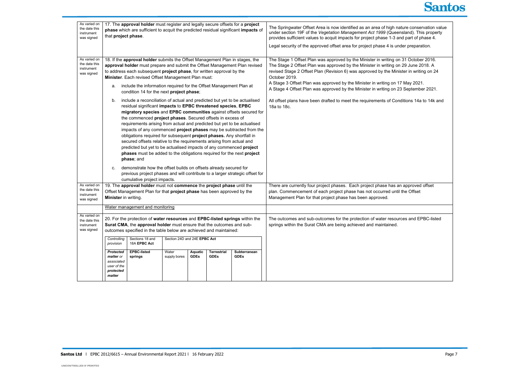| As varied on<br>the date this<br>instrument<br>was signed                                                                                                                                                                                                                                | 17. The approval holder must register and legally secure offsets for a project<br>phase which are sufficient to acquit the predicted residual significant impacts of<br>that project phase.                                                                                                                                                                                                                                                                                                                                                                                                                                                                                                                                                                                                                                   |                                                                                                                                                                                                                                                                                                                                                                                                              |                              |                        |                            |                                                                                                                                                        | The Springwater Offset Area is now identified as an area of high nature conservation value<br>under section 19F of the Vegetation Management Act 1999 (Queensland). This property<br>provides sufficient values to acquit impacts for project phase 1-3 and part of phase 4.<br>Legal security of the approved offset area for project phase 4 is under preparation.                                                                                         |
|------------------------------------------------------------------------------------------------------------------------------------------------------------------------------------------------------------------------------------------------------------------------------------------|-------------------------------------------------------------------------------------------------------------------------------------------------------------------------------------------------------------------------------------------------------------------------------------------------------------------------------------------------------------------------------------------------------------------------------------------------------------------------------------------------------------------------------------------------------------------------------------------------------------------------------------------------------------------------------------------------------------------------------------------------------------------------------------------------------------------------------|--------------------------------------------------------------------------------------------------------------------------------------------------------------------------------------------------------------------------------------------------------------------------------------------------------------------------------------------------------------------------------------------------------------|------------------------------|------------------------|----------------------------|--------------------------------------------------------------------------------------------------------------------------------------------------------|--------------------------------------------------------------------------------------------------------------------------------------------------------------------------------------------------------------------------------------------------------------------------------------------------------------------------------------------------------------------------------------------------------------------------------------------------------------|
| As varied on<br>the date this<br>instrument<br>was signed                                                                                                                                                                                                                                | а.                                                                                                                                                                                                                                                                                                                                                                                                                                                                                                                                                                                                                                                                                                                                                                                                                            | 18. If the approval holder submits the Offset Management Plan in stages, the<br>approval holder must prepare and submit the Offset Management Plan revised<br>to address each subsequent project phase, for written approval by the<br>Minister. Each revised Offset Management Plan must:<br>include the information required for the Offset Management Plan at<br>condition 14 for the next project phase; |                              |                        |                            |                                                                                                                                                        | The Stage 1 Offset Plan was approved by the Minister in writing on 31 October 2016.<br>The Stage 2 Offset Plan was approved by the Minister in writing on 29 June 2018. A<br>revised Stage 2 Offset Plan (Revision 6) was approved by the Minister in writing on 24<br>October 2019.<br>A Stage 3 Offset Plan was approved by the Minister in writing on 17 May 2021.<br>A Stage 4 Offset Plan was approved by the Minister in writing on 23 September 2021. |
|                                                                                                                                                                                                                                                                                          | include a reconciliation of actual and predicted but yet to be actualised<br>b.<br>residual significant impacts to EPBC threatened species, EPBC<br>migratory species and EPBC communities against offsets secured for<br>the commenced project phases. Secured offsets in excess of<br>requirements arising from actual and predicted but yet to be actualised<br>impacts of any commenced project phases may be subtracted from the<br>obligations required for subsequent project phases. Any shortfall in<br>secured offsets relative to the requirements arising from actual and<br>predicted but yet to be actualised impacts of any commenced project<br>phases must be added to the obligations required for the next project<br>phase; and<br>demonstrate how the offset builds on offsets already secured for<br>C. |                                                                                                                                                                                                                                                                                                                                                                                                              |                              |                        |                            |                                                                                                                                                        | All offset plans have been drafted to meet the requirements of Conditions 14a to 14k and<br>18a to 18c.                                                                                                                                                                                                                                                                                                                                                      |
|                                                                                                                                                                                                                                                                                          | previous project phases and will contribute to a larger strategic offset for<br>cumulative project impacts.                                                                                                                                                                                                                                                                                                                                                                                                                                                                                                                                                                                                                                                                                                                   |                                                                                                                                                                                                                                                                                                                                                                                                              |                              |                        |                            |                                                                                                                                                        |                                                                                                                                                                                                                                                                                                                                                                                                                                                              |
| As varied on<br>the date this<br>instrument<br>was signed                                                                                                                                                                                                                                | 19. The approval holder must not commence the project phase until the<br>Offset Management Plan for that project phase has been approved by the<br>Minister in writing.                                                                                                                                                                                                                                                                                                                                                                                                                                                                                                                                                                                                                                                       |                                                                                                                                                                                                                                                                                                                                                                                                              |                              |                        |                            |                                                                                                                                                        | There are currently four project phases. Each project phase has an approved offset<br>plan. Commencement of each project phase has not occurred until the Offset<br>Management Plan for that project phase has been approved.                                                                                                                                                                                                                                |
|                                                                                                                                                                                                                                                                                          |                                                                                                                                                                                                                                                                                                                                                                                                                                                                                                                                                                                                                                                                                                                                                                                                                               | Water management and monitoring                                                                                                                                                                                                                                                                                                                                                                              |                              |                        |                            |                                                                                                                                                        |                                                                                                                                                                                                                                                                                                                                                                                                                                                              |
| As varied on<br>20. For the protection of water resources and EPBC-listed springs within the<br>the date this<br>Surat CMA, the approval holder must ensure that the outcomes and sub-<br>instrument<br>was signed<br>outcomes specified in the table below are achieved and maintained: |                                                                                                                                                                                                                                                                                                                                                                                                                                                                                                                                                                                                                                                                                                                                                                                                                               |                                                                                                                                                                                                                                                                                                                                                                                                              |                              |                        |                            | The outcomes and sub-outcomes for the protection of water resources and EPBC-listed<br>springs within the Surat CMA are being achieved and maintained. |                                                                                                                                                                                                                                                                                                                                                                                                                                                              |
|                                                                                                                                                                                                                                                                                          | Controlling<br>provision                                                                                                                                                                                                                                                                                                                                                                                                                                                                                                                                                                                                                                                                                                                                                                                                      | Sections 18 and<br>18A EPBC Act                                                                                                                                                                                                                                                                                                                                                                              | Section 24D and 24E EPBC Act |                        |                            |                                                                                                                                                        |                                                                                                                                                                                                                                                                                                                                                                                                                                                              |
|                                                                                                                                                                                                                                                                                          | Protected<br>matter or<br>associated<br>user of the<br>protected<br>matter                                                                                                                                                                                                                                                                                                                                                                                                                                                                                                                                                                                                                                                                                                                                                    | <b>EPBC-listed</b><br>springs                                                                                                                                                                                                                                                                                                                                                                                | Water<br>supply bores        | Aquatic<br><b>GDEs</b> | Terrestrial<br><b>GDEs</b> | Subterranean<br><b>GDEs</b>                                                                                                                            |                                                                                                                                                                                                                                                                                                                                                                                                                                                              |

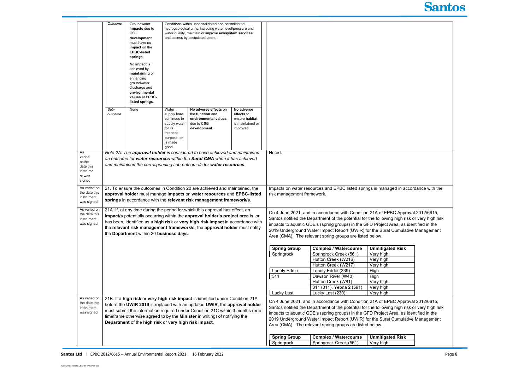|                    | Outcome                                                                                                                                                                                                                      | Groundwater<br>impacts due to<br><b>CSG</b><br>development<br>must have no<br>impact on the<br><b>EPBC-listed</b><br>springs.<br>No impact is<br>achieved by<br>maintaining or<br>enhancing<br>groundwater<br>discharge and<br>environmental<br>values at EPBC-<br>listed springs. |                                                                                                                | Conditions within unconsolidated and consolidated<br>hydrogeological units, including water level/pressure and<br>water quality, maintain or improve ecosystem services<br>and access by associated users. |                                                                                 |                                                                                                                                                                           |                                                                                               |                         |  |
|--------------------|------------------------------------------------------------------------------------------------------------------------------------------------------------------------------------------------------------------------------|------------------------------------------------------------------------------------------------------------------------------------------------------------------------------------------------------------------------------------------------------------------------------------|----------------------------------------------------------------------------------------------------------------|------------------------------------------------------------------------------------------------------------------------------------------------------------------------------------------------------------|---------------------------------------------------------------------------------|---------------------------------------------------------------------------------------------------------------------------------------------------------------------------|-----------------------------------------------------------------------------------------------|-------------------------|--|
|                    | Sub-<br>outcome                                                                                                                                                                                                              | None                                                                                                                                                                                                                                                                               | Water<br>supply bore<br>continues to<br>supply water<br>for its<br>intended<br>purpose, or<br>is made<br>good. | No adverse effects on<br>the <b>function</b> and<br>environmental values<br>due to CSG<br>development.                                                                                                     | No adverse<br>effects to<br>ensure habitat<br>is maintained or<br>improved.     |                                                                                                                                                                           |                                                                                               |                         |  |
| As                 |                                                                                                                                                                                                                              |                                                                                                                                                                                                                                                                                    |                                                                                                                | Note 2A: The approval holder is considered to have achieved and maintained                                                                                                                                 |                                                                                 | Noted.                                                                                                                                                                    |                                                                                               |                         |  |
| varied             |                                                                                                                                                                                                                              |                                                                                                                                                                                                                                                                                    |                                                                                                                | an outcome for water resources within the Surat CMA when it has achieved                                                                                                                                   |                                                                                 |                                                                                                                                                                           |                                                                                               |                         |  |
| onthe<br>date this |                                                                                                                                                                                                                              |                                                                                                                                                                                                                                                                                    |                                                                                                                | and maintained the corresponding sub-outcome/s for water resources.                                                                                                                                        |                                                                                 |                                                                                                                                                                           |                                                                                               |                         |  |
| instrume           |                                                                                                                                                                                                                              |                                                                                                                                                                                                                                                                                    |                                                                                                                |                                                                                                                                                                                                            |                                                                                 |                                                                                                                                                                           |                                                                                               |                         |  |
| nt was             |                                                                                                                                                                                                                              |                                                                                                                                                                                                                                                                                    |                                                                                                                |                                                                                                                                                                                                            |                                                                                 |                                                                                                                                                                           |                                                                                               |                         |  |
| signed             |                                                                                                                                                                                                                              |                                                                                                                                                                                                                                                                                    |                                                                                                                |                                                                                                                                                                                                            |                                                                                 |                                                                                                                                                                           |                                                                                               |                         |  |
| As varied on       |                                                                                                                                                                                                                              |                                                                                                                                                                                                                                                                                    |                                                                                                                | 21. To ensure the outcomes in Condition 20 are achieved and maintained, the                                                                                                                                |                                                                                 |                                                                                                                                                                           | Impacts on water resources and EPBC listed springs is managed in accordance with the          |                         |  |
| the date this      |                                                                                                                                                                                                                              |                                                                                                                                                                                                                                                                                    |                                                                                                                | approval holder must manage impacts on water resources and EPBC-listed                                                                                                                                     |                                                                                 | risk management framework.                                                                                                                                                |                                                                                               |                         |  |
| instrument         |                                                                                                                                                                                                                              |                                                                                                                                                                                                                                                                                    |                                                                                                                | springs in accordance with the relevant risk management framework/s.                                                                                                                                       |                                                                                 |                                                                                                                                                                           |                                                                                               |                         |  |
| was signed         |                                                                                                                                                                                                                              |                                                                                                                                                                                                                                                                                    |                                                                                                                |                                                                                                                                                                                                            |                                                                                 |                                                                                                                                                                           |                                                                                               |                         |  |
| As varied on       |                                                                                                                                                                                                                              |                                                                                                                                                                                                                                                                                    |                                                                                                                | 21A. If, at any time during the period for which this approval has effect, an                                                                                                                              |                                                                                 |                                                                                                                                                                           |                                                                                               |                         |  |
| the date this      |                                                                                                                                                                                                                              |                                                                                                                                                                                                                                                                                    |                                                                                                                | impact/s potentially occurring within the approval holder's project area is, or                                                                                                                            |                                                                                 |                                                                                                                                                                           | On 4 June 2021, and in accordance with Condition 21A of EPBC Approval 2012/6615,              |                         |  |
| instrument         |                                                                                                                                                                                                                              |                                                                                                                                                                                                                                                                                    |                                                                                                                | has been, identified as a high risk or very high risk impact in accordance with                                                                                                                            |                                                                                 | Santos notified the Department of the potential for the following high risk or very high risk                                                                             |                                                                                               |                         |  |
| was signed         |                                                                                                                                                                                                                              |                                                                                                                                                                                                                                                                                    |                                                                                                                | the relevant risk management framework/s, the approval holder must notify                                                                                                                                  |                                                                                 | impacts to aquatic GDE's (spring groups) in the GFD Project Area, as identified in the<br>2019 Underground Water Impact Report (UWIR) for the Surat Cumulative Management |                                                                                               |                         |  |
|                    |                                                                                                                                                                                                                              | the Department within 20 business days.                                                                                                                                                                                                                                            |                                                                                                                |                                                                                                                                                                                                            |                                                                                 |                                                                                                                                                                           |                                                                                               |                         |  |
|                    |                                                                                                                                                                                                                              |                                                                                                                                                                                                                                                                                    |                                                                                                                |                                                                                                                                                                                                            |                                                                                 |                                                                                                                                                                           | Area (CMA). The relevant spring groups are listed below.                                      |                         |  |
|                    |                                                                                                                                                                                                                              |                                                                                                                                                                                                                                                                                    |                                                                                                                |                                                                                                                                                                                                            |                                                                                 |                                                                                                                                                                           |                                                                                               |                         |  |
|                    |                                                                                                                                                                                                                              |                                                                                                                                                                                                                                                                                    |                                                                                                                |                                                                                                                                                                                                            |                                                                                 | <b>Spring Group</b>                                                                                                                                                       | <b>Complex / Watercourse</b>                                                                  | <b>Unmitigated Risk</b> |  |
|                    |                                                                                                                                                                                                                              |                                                                                                                                                                                                                                                                                    |                                                                                                                |                                                                                                                                                                                                            |                                                                                 | Springrock                                                                                                                                                                | Springrock Creek (561)                                                                        | Very high               |  |
|                    |                                                                                                                                                                                                                              |                                                                                                                                                                                                                                                                                    |                                                                                                                |                                                                                                                                                                                                            |                                                                                 |                                                                                                                                                                           | Hutton Creek (W216)                                                                           | Very high               |  |
|                    |                                                                                                                                                                                                                              |                                                                                                                                                                                                                                                                                    |                                                                                                                |                                                                                                                                                                                                            |                                                                                 |                                                                                                                                                                           | Hutton Creek (W217)                                                                           | Very high               |  |
|                    |                                                                                                                                                                                                                              |                                                                                                                                                                                                                                                                                    |                                                                                                                |                                                                                                                                                                                                            |                                                                                 | Lonely Eddie<br>311                                                                                                                                                       | Lonely Eddie (339)<br>Dawson River (W40)                                                      | High                    |  |
|                    |                                                                                                                                                                                                                              |                                                                                                                                                                                                                                                                                    |                                                                                                                |                                                                                                                                                                                                            |                                                                                 |                                                                                                                                                                           | Hutton Creek (W81)                                                                            | High                    |  |
|                    |                                                                                                                                                                                                                              |                                                                                                                                                                                                                                                                                    |                                                                                                                |                                                                                                                                                                                                            |                                                                                 |                                                                                                                                                                           |                                                                                               | Very high               |  |
|                    |                                                                                                                                                                                                                              |                                                                                                                                                                                                                                                                                    |                                                                                                                |                                                                                                                                                                                                            |                                                                                 |                                                                                                                                                                           | 311 (311), Yebna 2 (591)                                                                      | Very high               |  |
| As varied on       |                                                                                                                                                                                                                              |                                                                                                                                                                                                                                                                                    |                                                                                                                | 21B. If a high risk or very high risk impact is identified under Condition 21A                                                                                                                             |                                                                                 | <b>Lucky Last</b>                                                                                                                                                         | Lucky Last (230)                                                                              | Very high               |  |
| the date this      |                                                                                                                                                                                                                              |                                                                                                                                                                                                                                                                                    |                                                                                                                |                                                                                                                                                                                                            |                                                                                 |                                                                                                                                                                           | On 4 June 2021, and in accordance with Condition 21A of EPBC Approval 2012/6615,              |                         |  |
| instrument         |                                                                                                                                                                                                                              | before the UWIR 2019 is replaced with an updated UWIR, the approval holder                                                                                                                                                                                                         |                                                                                                                |                                                                                                                                                                                                            |                                                                                 |                                                                                                                                                                           | Santos notified the Department of the potential for the following high risk or very high risk |                         |  |
| was signed         | must submit the information required under Condition 21C within 3 months (or a<br>timeframe otherwise agreed to by the <b>Minister</b> in writing) of notifying the<br>Department of the high risk or very high risk impact. |                                                                                                                                                                                                                                                                                    |                                                                                                                |                                                                                                                                                                                                            |                                                                                 | impacts to aquatic GDE's (spring groups) in the GFD Project Area, as identified in the                                                                                    |                                                                                               |                         |  |
|                    |                                                                                                                                                                                                                              |                                                                                                                                                                                                                                                                                    |                                                                                                                |                                                                                                                                                                                                            | 2019 Underground Water Impact Report (UWIR) for the Surat Cumulative Management |                                                                                                                                                                           |                                                                                               |                         |  |
|                    |                                                                                                                                                                                                                              |                                                                                                                                                                                                                                                                                    |                                                                                                                |                                                                                                                                                                                                            |                                                                                 |                                                                                                                                                                           | Area (CMA). The relevant spring groups are listed below.                                      |                         |  |
|                    |                                                                                                                                                                                                                              |                                                                                                                                                                                                                                                                                    |                                                                                                                |                                                                                                                                                                                                            |                                                                                 |                                                                                                                                                                           |                                                                                               |                         |  |
|                    |                                                                                                                                                                                                                              |                                                                                                                                                                                                                                                                                    |                                                                                                                |                                                                                                                                                                                                            |                                                                                 | <b>Spring Group</b>                                                                                                                                                       | <b>Complex / Watercourse</b>                                                                  | <b>Unmitigated Risk</b> |  |
|                    |                                                                                                                                                                                                                              |                                                                                                                                                                                                                                                                                    |                                                                                                                |                                                                                                                                                                                                            |                                                                                 | Springrock                                                                                                                                                                | Springrock Creek (561)                                                                        | Very high               |  |
|                    |                                                                                                                                                                                                                              |                                                                                                                                                                                                                                                                                    |                                                                                                                |                                                                                                                                                                                                            |                                                                                 |                                                                                                                                                                           |                                                                                               |                         |  |



| n accordance with the                                                                          |  |
|------------------------------------------------------------------------------------------------|--|
| pproval 2012/6615,<br>th risk or very high risk<br>as identified in the<br>nulative Management |  |
| isk                                                                                            |  |
|                                                                                                |  |
| pproval 2012/6615,<br>th risk or very high risk<br>as identified in the<br>nulative Management |  |
| isk                                                                                            |  |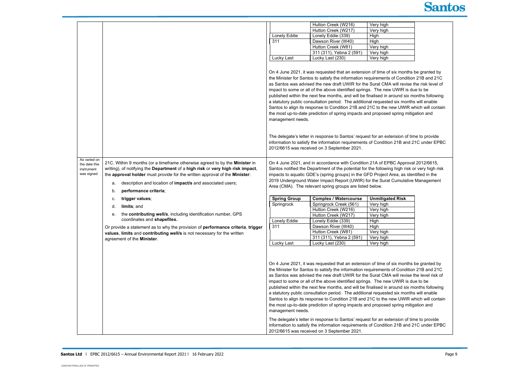|                          |                                                                                                                                                            |                            | Hutton Creek (W216)                                                                                                                                                                                                                                                                                                                                                                                                                                                                                                                                                                                                                                                                                                                                                                                       | Very high               |
|--------------------------|------------------------------------------------------------------------------------------------------------------------------------------------------------|----------------------------|-----------------------------------------------------------------------------------------------------------------------------------------------------------------------------------------------------------------------------------------------------------------------------------------------------------------------------------------------------------------------------------------------------------------------------------------------------------------------------------------------------------------------------------------------------------------------------------------------------------------------------------------------------------------------------------------------------------------------------------------------------------------------------------------------------------|-------------------------|
|                          |                                                                                                                                                            |                            | Hutton Creek (W217)                                                                                                                                                                                                                                                                                                                                                                                                                                                                                                                                                                                                                                                                                                                                                                                       | Very high               |
|                          |                                                                                                                                                            | Lonely Eddie               | Lonely Eddie (339)                                                                                                                                                                                                                                                                                                                                                                                                                                                                                                                                                                                                                                                                                                                                                                                        | High                    |
|                          |                                                                                                                                                            | 311                        | Dawson River (W40)                                                                                                                                                                                                                                                                                                                                                                                                                                                                                                                                                                                                                                                                                                                                                                                        | High                    |
|                          |                                                                                                                                                            |                            | Hutton Creek (W81)                                                                                                                                                                                                                                                                                                                                                                                                                                                                                                                                                                                                                                                                                                                                                                                        | Very high               |
|                          |                                                                                                                                                            |                            | 311 (311), Yebna 2 (591)                                                                                                                                                                                                                                                                                                                                                                                                                                                                                                                                                                                                                                                                                                                                                                                  | Very high               |
|                          |                                                                                                                                                            | Lucky Last                 | Lucky Last (230)                                                                                                                                                                                                                                                                                                                                                                                                                                                                                                                                                                                                                                                                                                                                                                                          | Very high               |
|                          |                                                                                                                                                            | management needs.          | On 4 June 2021, it was requested that an extension of time of six mor<br>the Minister for Santos to satisfy the information requirements of Cond<br>as Santos was advised the new draft UWIR for the Surat CMA will rev<br>impact to some or all of the above identified springs. The new UWIR<br>published within the next few months, and will be finalised in around s<br>a statutory public consultation period. The additional requested six mo<br>Santos to align its response to Condition 21B and 21C to the new UW<br>the most up-to-date prediction of spring impacts and proposed spring                                                                                                                                                                                                       |                         |
| As varied on             |                                                                                                                                                            |                            | The delegate's letter in response to Santos' request for an extension of<br>information to satisfy the information requirements of Condition 21B a<br>2012/6615 was received on 3 September 2021.                                                                                                                                                                                                                                                                                                                                                                                                                                                                                                                                                                                                         |                         |
| the date this            | 21C. Within 9 months (or a timeframe otherwise agreed to by the Minister in                                                                                |                            | On 4 June 2021, and in accordance with Condition 21A of EPBC App                                                                                                                                                                                                                                                                                                                                                                                                                                                                                                                                                                                                                                                                                                                                          |                         |
| instrument<br>was signed | writing), of notifying the Department of a high risk or very high risk impact,                                                                             |                            | Santos notified the Department of the potential for the following high r                                                                                                                                                                                                                                                                                                                                                                                                                                                                                                                                                                                                                                                                                                                                  |                         |
|                          | the approval holder must provide for the written approval of the Minister:                                                                                 |                            | impacts to aquatic GDE's (spring groups) in the GFD Project Area, as                                                                                                                                                                                                                                                                                                                                                                                                                                                                                                                                                                                                                                                                                                                                      |                         |
|                          | description and location of impact/s and associated users;<br>a.                                                                                           |                            | 2019 Underground Water Impact Report (UWIR) for the Surat Cumula                                                                                                                                                                                                                                                                                                                                                                                                                                                                                                                                                                                                                                                                                                                                          |                         |
|                          | performance criteria;<br>b.                                                                                                                                |                            | Area (CMA). The relevant spring groups are listed below.                                                                                                                                                                                                                                                                                                                                                                                                                                                                                                                                                                                                                                                                                                                                                  |                         |
|                          | trigger values;<br>c.                                                                                                                                      | <b>Spring Group</b>        | <b>Complex / Watercourse</b>                                                                                                                                                                                                                                                                                                                                                                                                                                                                                                                                                                                                                                                                                                                                                                              | <b>Unmitigated Risk</b> |
|                          |                                                                                                                                                            | Springrock<br>Lonely Eddie | Springrock Creek (561)                                                                                                                                                                                                                                                                                                                                                                                                                                                                                                                                                                                                                                                                                                                                                                                    | Very high               |
|                          | limits; and<br>d.                                                                                                                                          |                            | Hutton Creek (W216)                                                                                                                                                                                                                                                                                                                                                                                                                                                                                                                                                                                                                                                                                                                                                                                       | Very high               |
|                          | the contributing well/s, including identification number, GPS<br>е.                                                                                        |                            | Hutton Creek (W217)                                                                                                                                                                                                                                                                                                                                                                                                                                                                                                                                                                                                                                                                                                                                                                                       | Very high               |
|                          | coordinates and shapefiles.                                                                                                                                |                            | Lonely Eddie (339)                                                                                                                                                                                                                                                                                                                                                                                                                                                                                                                                                                                                                                                                                                                                                                                        | High                    |
|                          |                                                                                                                                                            | 311                        | Dawson River (W40)                                                                                                                                                                                                                                                                                                                                                                                                                                                                                                                                                                                                                                                                                                                                                                                        | High                    |
|                          | Or provide a statement as to why the provision of performance criteria, trigger<br>values, limits and contributing well/s is not necessary for the written |                            | Hutton Creek (W81)                                                                                                                                                                                                                                                                                                                                                                                                                                                                                                                                                                                                                                                                                                                                                                                        | Very high               |
|                          |                                                                                                                                                            |                            | 311 (311), Yebna 2 (591)                                                                                                                                                                                                                                                                                                                                                                                                                                                                                                                                                                                                                                                                                                                                                                                  | Very high               |
|                          | agreement of the Minister.                                                                                                                                 | Lucky Last                 | Lucky Last (230)                                                                                                                                                                                                                                                                                                                                                                                                                                                                                                                                                                                                                                                                                                                                                                                          | Very high               |
|                          |                                                                                                                                                            | management needs.          | On 4 June 2021, it was requested that an extension of time of six more<br>the Minister for Santos to satisfy the information requirements of Cond<br>as Santos was advised the new draft UWIR for the Surat CMA will rev<br>impact to some or all of the above identified springs. The new UWIR<br>published within the next few months, and will be finalised in around s<br>a statutory public consultation period. The additional requested six mo<br>Santos to align its response to Condition 21B and 21C to the new UW<br>the most up-to-date prediction of spring impacts and proposed spring<br>The delegate's letter in response to Santos' request for an extension of<br>information to satisfy the information requirements of Condition 21B a<br>2012/6615 was received on 3 September 2021. |                         |



| --                       |  |
|--------------------------|--|
| <b>Contract Contract</b> |  |
|                          |  |
|                          |  |
|                          |  |
|                          |  |

nonths be granted by ondition 21B and 21C revise the risk level of IR is due to be d six months following months will enable JWIR which will contain ng mitigation and

on of time to provide iand 21C under EPBC

pproval 2012/6615, Ih risk or very high risk as identified in the nulative Management

| <u>isk</u> |  |
|------------|--|
|            |  |
|            |  |
|            |  |
|            |  |
|            |  |
|            |  |
|            |  |
|            |  |
|            |  |

nonths be granted by ondition 21B and 21C revise the level risk of IR is due to be d six months following months will enable JWIR which will contain ng mitigation and

on of time to provide  $an{d}$  21C under EPBC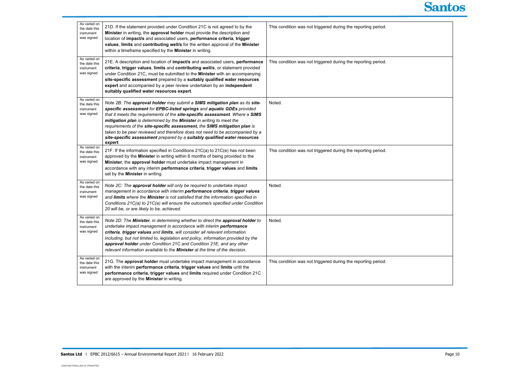| As varied on<br>the date this<br>instrument<br>was signed | 21D. If the statement provided under Condition 21C is not agreed to by the<br>Minister in writing, the approval holder must provide the description and<br>location of impact/s and associated users, performance criteria, trigger<br>values, limits and contributing well/s for the written approval of the Minister<br>within a timeframe specified by the Minister in writing.                                                                                                                                                                                | This condition was not triggered during the reporting period. |
|-----------------------------------------------------------|-------------------------------------------------------------------------------------------------------------------------------------------------------------------------------------------------------------------------------------------------------------------------------------------------------------------------------------------------------------------------------------------------------------------------------------------------------------------------------------------------------------------------------------------------------------------|---------------------------------------------------------------|
| As varied on<br>the date this<br>instrument<br>was signed | 21E. A description and location of impact/s and associated users, performance<br>criteria, trigger values, limits and contributing well/s, or statement provided<br>under Condition 21C, must be submitted to the Minister with an accompanying<br>site-specific assessment prepared by a suitably qualified water resources<br>expert and accompanied by a peer review undertaken by an independent<br>suitably qualified water resources expert.                                                                                                                | This condition was not triggered during the reporting period. |
| As varied on<br>the date this<br>instrument<br>was signed | Note 2B: The approval holder may submit a SIMS mitigation plan as its site-<br>specific assessment for EPBC-listed springs and aquatic GDEs provided<br>that it meets the requirements of the site-specific assessment. Where a SIMS<br>mitigation plan is determined by the Minister in writing to meet the<br>requirements of the site-specific assessment, the SIMS mitigation plan is<br>taken to be peer reviewed and therefore does not need to be accompanied by a<br>site-specific assessment prepared by a suitably qualified water resources<br>expert. | Noted.                                                        |
| As varied on<br>the date this<br>instrument<br>was signed | 21F. If the information specified in Conditions 21C(a) to 21C(e) has not been<br>approved by the Minister in writing within 6 months of being provided to the<br>Minister, the approval holder must undertake impact management in<br>accordance with any interim performance criteria, trigger values and limits<br>set by the <b>Minister</b> in writing.                                                                                                                                                                                                       | This condition was not triggered during the reporting period. |
| As varied on<br>the date this<br>instrument<br>was signed | Note 2C: The approval holder will only be required to undertake impact<br>management in accordance with interim performance criteria, trigger values<br>and limits where the Minister is not satisfied that the information specified in<br>Conditions 21C(a) to 21C(e) will ensure the outcome/s specified under Condition<br>20 will be, or are likely to be, achieved.                                                                                                                                                                                         | Noted.                                                        |
| As varied on<br>the date this<br>instrument<br>was signed | Note 2D: The Minister, in determining whether to direct the approval holder to<br>undertake impact management in accordance with interim performance<br>criteria, trigger values and limits, will consider all relevant information<br>including, but not limited to, legislation and policy, information provided by the<br>approval holder under Condition 21C and Condition 21E, and any other<br>relevant information available to the <b>Minister</b> at the time of the decision.                                                                           | Noted.                                                        |
| As varied on<br>the date this<br>instrument<br>was signed | 21G. The approval holder must undertake impact management in accordance<br>with the interim performance criteria, trigger values and limits until the<br>performance criteria, trigger values and limits required under Condition 21C<br>are approved by the Minister in writing.                                                                                                                                                                                                                                                                                 | This condition was not triggered during the reporting period. |

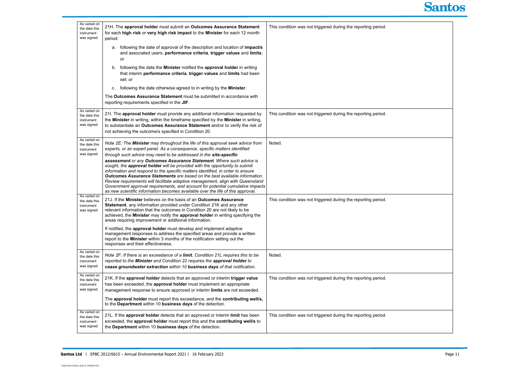| As varied on<br>the date this<br>instrument<br>was signed | 21H. The approval holder must submit an Outcomes Assurance Statement<br>for each high risk or very high risk impact to the Minister for each 12 month<br>period:                                                                                                                                                                                                                                                                                                                                                                                                                                                                                                                                                                                                                                                 | This condition was not triggered during the reporting period. |
|-----------------------------------------------------------|------------------------------------------------------------------------------------------------------------------------------------------------------------------------------------------------------------------------------------------------------------------------------------------------------------------------------------------------------------------------------------------------------------------------------------------------------------------------------------------------------------------------------------------------------------------------------------------------------------------------------------------------------------------------------------------------------------------------------------------------------------------------------------------------------------------|---------------------------------------------------------------|
|                                                           | a. following the date of approval of the description and location of <i>impact/s</i><br>and associated users, performance criteria, trigger values and limits;<br>or                                                                                                                                                                                                                                                                                                                                                                                                                                                                                                                                                                                                                                             |                                                               |
|                                                           | following the date the Minister notified the approval holder in writing<br>b.<br>that interim performance criteria, trigger values and limits had been<br>set; or                                                                                                                                                                                                                                                                                                                                                                                                                                                                                                                                                                                                                                                |                                                               |
|                                                           | following the date otherwise agreed to in writing by the Minister.<br>c.                                                                                                                                                                                                                                                                                                                                                                                                                                                                                                                                                                                                                                                                                                                                         |                                                               |
|                                                           | The Outcomes Assurance Statement must be submitted in accordance with<br>reporting requirements specified in the JIF.                                                                                                                                                                                                                                                                                                                                                                                                                                                                                                                                                                                                                                                                                            |                                                               |
| As varied on<br>the date this<br>instrument<br>was signed | 21I. The approval holder must provide any additional information requested by<br>the Minister in writing, within the timeframe specified by the Minister in writing,<br>to substantiate an Outcomes Assurance Statement and/or to verify the risk of<br>not achieving the outcome/s specified in Condition 20.                                                                                                                                                                                                                                                                                                                                                                                                                                                                                                   | This condition was not triggered during the reporting period. |
| As varied on<br>the date this<br>instrument<br>was signed | Note 2E: The Minister may throughout the life of this approval seek advice from<br>experts, or an expert panel. As a consequence, specific matters identified<br>through such advice may need to be addressed in the site-specific<br>assessment or any Outcomes Assurance Statement. Where such advice is<br>sought, the approval holder will be provided with the opportunity to submit<br>information and respond to the specific matters identified, in order to ensure<br>Outcomes Assurance Statements are based on the best available information.<br>Review requirements will facilitate adaptive management, align with Queensland<br>Government approval requirements, and account for potential cumulative impacts<br>as new scientific information becomes available over the life of this approval. | Noted.                                                        |
| As varied on<br>the date this<br>instrument<br>was signed | 21J. If the Minister believes on the basis of an Outcomes Assurance<br>Statement, any information provided under Condition 21K and any other<br>relevant information that the outcomes in Condition 20 are not likely to be<br>achieved, the Minister may notify the approval holder in writing specifying the<br>areas requiring improvement or additional information.                                                                                                                                                                                                                                                                                                                                                                                                                                         | This condition was not triggered during the reporting period. |
|                                                           | If notified, the approval holder must develop and implement adaptive<br>management responses to address the specified areas and provide a written<br>report to the Minister within 3 months of the notification setting out the<br>responses and their effectiveness.                                                                                                                                                                                                                                                                                                                                                                                                                                                                                                                                            |                                                               |
| As varied on<br>the date this<br>instrument<br>was signed | Note 2F: If there is an exceedance of a limit, Condition 21L requires this to be<br>reported to the Minister and Condition 22 requires the approval holder to<br>cease groundwater extraction within 10 business days of that notification.                                                                                                                                                                                                                                                                                                                                                                                                                                                                                                                                                                      | Noted.                                                        |
| As varied on<br>the date this<br>instrument<br>was signed | 21K. If the approval holder detects that an approved or interim trigger value<br>has been exceeded, the approval holder must implement an appropriate<br>management response to ensure approved or interim limits are not exceeded.                                                                                                                                                                                                                                                                                                                                                                                                                                                                                                                                                                              | This condition was not triggered during the reporting period. |
|                                                           | The approval holder must report this exceedance, and the contributing well/s,<br>to the Department within 10 business days of the detection.                                                                                                                                                                                                                                                                                                                                                                                                                                                                                                                                                                                                                                                                     |                                                               |
| As varied on<br>the date this<br>instrument<br>was signed | 21L. If the approval holder detects that an approved or interim limit has been<br>exceeded, the approval holder must report this and the contributing well/s to<br>the Department within 10 business days of the detection.                                                                                                                                                                                                                                                                                                                                                                                                                                                                                                                                                                                      | This condition was not triggered during the reporting period. |

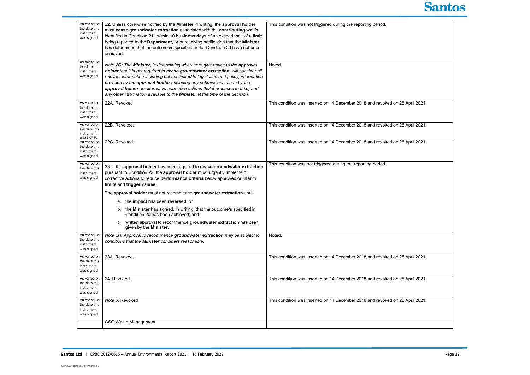| As varied on<br>the date this<br>instrument<br>was signed | 22. Unless otherwise notified by the Minister in writing, the approval holder<br>must cease groundwater extraction associated with the contributing well/s<br>identified in Condition 21L within 10 business days of an exceedance of a limit<br>being reported to the Department, or of receiving notification that the Minister<br>has determined that the outcome/s specified under Condition 20 have not been<br>achieved.                                                                          | This condition was not triggered during the reporting period.                 |
|-----------------------------------------------------------|---------------------------------------------------------------------------------------------------------------------------------------------------------------------------------------------------------------------------------------------------------------------------------------------------------------------------------------------------------------------------------------------------------------------------------------------------------------------------------------------------------|-------------------------------------------------------------------------------|
| As varied on<br>the date this<br>instrument<br>was signed | Note 2G: The Minister, in determining whether to give notice to the approval<br>holder that it is not required to cease groundwater extraction, will consider all<br>relevant information including but not limited to legislation and policy, information<br>provided by the approval holder (including any submissions made by the<br>approval holder on alternative corrective actions that it proposes to take) and<br>any other information available to the Minister at the time of the decision. | Noted.                                                                        |
| As varied on<br>the date this<br>instrument<br>was signed | 22A. Revoked                                                                                                                                                                                                                                                                                                                                                                                                                                                                                            | This condition was inserted on 14 December 2018 and revoked on 28 April 2021. |
| As varied on<br>the date this<br>instrument<br>was signed | 22B. Revoked.                                                                                                                                                                                                                                                                                                                                                                                                                                                                                           | This condition was inserted on 14 December 2018 and revoked on 28 April 2021. |
| As varied on<br>the date this<br>instrument<br>was signed | 22C. Revoked.                                                                                                                                                                                                                                                                                                                                                                                                                                                                                           | This condition was inserted on 14 December 2018 and revoked on 28 April 2021. |
| As varied on<br>the date this<br>instrument<br>was signed | 23. If the approval holder has been required to cease groundwater extraction<br>pursuant to Condition 22, the approval holder must urgently implement<br>corrective actions to reduce performance criteria below approved or interim<br>limits and trigger values.                                                                                                                                                                                                                                      | This condition was not triggered during the reporting period.                 |
|                                                           | The approval holder must not recommence groundwater extraction until:<br>a. the impact has been reversed; or<br>b. the Minister has agreed, in writing, that the outcome/s specified in<br>Condition 20 has been achieved; and<br>c. written approval to recommence groundwater extraction has been<br>given by the Minister.                                                                                                                                                                           |                                                                               |
| As varied on<br>the date this<br>instrument<br>was signed | Note 2H: Approval to recommence groundwater extraction may be subject to<br>conditions that the Minister considers reasonable.                                                                                                                                                                                                                                                                                                                                                                          | Noted.                                                                        |
| As varied on<br>the date this<br>instrument<br>was signed | 23A. Revoked.                                                                                                                                                                                                                                                                                                                                                                                                                                                                                           | This condition was inserted on 14 December 2018 and revoked on 28 April 2021. |
| As varied on<br>the date this<br>instrument<br>was signed | 24. Revoked.                                                                                                                                                                                                                                                                                                                                                                                                                                                                                            | This condition was inserted on 14 December 2018 and revoked on 28 April 2021. |
| As varied on<br>the date this<br>instrument<br>was signed | Note 3: Revoked                                                                                                                                                                                                                                                                                                                                                                                                                                                                                         | This condition was inserted on 14 December 2018 and revoked on 28 April 2021. |
|                                                           | <b>CSG Waste Management</b>                                                                                                                                                                                                                                                                                                                                                                                                                                                                             |                                                                               |



| 28 April 2021. |
|----------------|
| 28 April 2021. |
| 28 April 2021. |
|                |
|                |
|                |
|                |
| 28 April 2021. |
| 28 April 2021. |
| 28 April 2021. |
|                |
|                |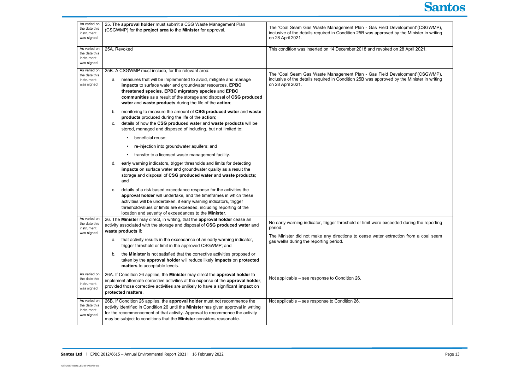| As varied on<br>the date this<br>instrument<br>was signed | 25. The approval holder must submit a CSG Waste Management Plan<br>(CSGWMP) for the project area to the Minister for approval.                                                                                                                                                                                                                                                                                                                                                                                                                                                                                                                                                                                                                                                                                                                                                                                                                                                                                                                                                                                                                                                                                                                                                                                                                                         | The 'Coal Seam Gas Waste Management Plan - Gas Field Development' (CSGWMP),<br>inclusive of the details required in Condition 25B was approved by the Minister in writing<br>on 28 April 2021.                                         |
|-----------------------------------------------------------|------------------------------------------------------------------------------------------------------------------------------------------------------------------------------------------------------------------------------------------------------------------------------------------------------------------------------------------------------------------------------------------------------------------------------------------------------------------------------------------------------------------------------------------------------------------------------------------------------------------------------------------------------------------------------------------------------------------------------------------------------------------------------------------------------------------------------------------------------------------------------------------------------------------------------------------------------------------------------------------------------------------------------------------------------------------------------------------------------------------------------------------------------------------------------------------------------------------------------------------------------------------------------------------------------------------------------------------------------------------------|----------------------------------------------------------------------------------------------------------------------------------------------------------------------------------------------------------------------------------------|
| As varied on<br>the date this<br>instrument<br>was signed | 25A. Revoked                                                                                                                                                                                                                                                                                                                                                                                                                                                                                                                                                                                                                                                                                                                                                                                                                                                                                                                                                                                                                                                                                                                                                                                                                                                                                                                                                           | This condition was inserted on 14 December 2018 and revoked on 28 April 2021.                                                                                                                                                          |
| As varied on<br>the date this<br>instrument<br>was signed | 25B. A CSGWMP must include, for the relevant area:<br>measures that will be implemented to avoid, mitigate and manage<br>а.<br>impacts to surface water and groundwater resources, EPBC<br>threatened species, EPBC migratory species and EPBC<br>communities as a result of the storage and disposal of CSG produced<br>water and waste products during the life of the action;<br>monitoring to measure the amount of CSG produced water and waste<br>b.<br>products produced during the life of the action;<br>details of how the CSG produced water and waste products will be<br>C.<br>stored, managed and disposed of including, but not limited to:<br>beneficial reuse;<br>re-injection into groundwater aquifers; and<br>transfer to a licensed waste management facility.<br>early warning indicators, trigger thresholds and limits for detecting<br>d.<br>impacts on surface water and groundwater quality as a result the<br>storage and disposal of CSG produced water and waste products;<br>and<br>details of a risk based exceedance response for the activities the<br>е.<br>approval holder will undertake, and the timeframes in which these<br>activities will be undertaken, if early warning indicators, trigger<br>thresholdvalues or limits are exceeded, including reporting of the<br>location and severity of exceedances to the Minister. | The 'Coal Seam Gas Waste Management Plan - Gas Field Development' (CSGWMP),<br>inclusive of the details required in Condition 25B was approved by the Minister in writing<br>on 28 April 2021.                                         |
| As varied on<br>the date this<br>instrument<br>was signed | 26. The Minister may direct, in writing, that the approval holder cease an<br>activity associated with the storage and disposal of CSG produced water and<br>waste products if:<br>that activity results in the exceedance of an early warning indicator,<br>a.<br>trigger threshold or limit in the approved CSGWMP; and<br>the Minister is not satisfied that the corrective activities proposed or<br>b.<br>taken by the approval holder will reduce likely impacts on protected<br>matters to acceptable levels.                                                                                                                                                                                                                                                                                                                                                                                                                                                                                                                                                                                                                                                                                                                                                                                                                                                   | No early warning indicator, trigger threshold or limit were exceeded during the reporting<br>period.<br>The Minister did not make any directions to cease water extraction from a coal seam<br>gas well/s during the reporting period. |
| As varied on<br>the date this<br>instrument<br>was signed | 26A. If Condition 26 applies, the Minister may direct the approval holder to<br>implement alternate corrective activities at the expense of the approval holder,<br>provided those corrective activities are unlikely to have a significant impact on<br>protected matters.                                                                                                                                                                                                                                                                                                                                                                                                                                                                                                                                                                                                                                                                                                                                                                                                                                                                                                                                                                                                                                                                                            | Not applicable – see response to Condition 26.                                                                                                                                                                                         |
| As varied on<br>the date this<br>instrument<br>was signed | 26B. If Condition 26 applies, the approval holder must not recommence the<br>activity identified in Condition 26 until the Minister has given approval in writing<br>for the recommencement of that activity. Approval to recommence the activity<br>may be subject to conditions that the Minister considers reasonable.                                                                                                                                                                                                                                                                                                                                                                                                                                                                                                                                                                                                                                                                                                                                                                                                                                                                                                                                                                                                                                              | Not applicable – see response to Condition 26.                                                                                                                                                                                         |



| elopment' (CSGWMP),<br>the Minister in writing          |  |
|---------------------------------------------------------|--|
| 28 April 2021.                                          |  |
| elopment' (CSGWMP),<br>$\gamma$ the Minister in writing |  |
| ed during the reporting                                 |  |
| tion from a coal seam                                   |  |
|                                                         |  |
|                                                         |  |
|                                                         |  |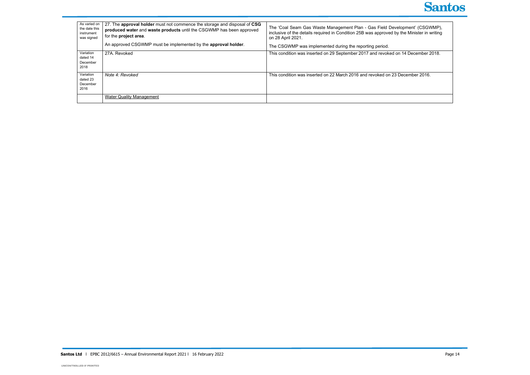| As varied on<br>the date this<br>instrument<br>was signed | 27. The approval holder must not commence the storage and disposal of CSG<br>produced water and waste products until the CSGWMP has been approved<br>for the project area. | The 'Coal Seam Gas Waste Management Plan - Gas Field Development' (CSGWMP),<br>inclusive of the details required in Condition 25B was approved by the Minister in writing<br>on 28 April 2021. |
|-----------------------------------------------------------|----------------------------------------------------------------------------------------------------------------------------------------------------------------------------|------------------------------------------------------------------------------------------------------------------------------------------------------------------------------------------------|
|                                                           | An approved CSGWMP must be implemented by the approval holder.                                                                                                             | The CSGWMP was implemented during the reporting period.                                                                                                                                        |
| Variation<br>dated 14<br>December<br>2018                 | 27A. Revoked                                                                                                                                                               | This condition was inserted on 29 September 2017 and revoked on 14 December 2018.                                                                                                              |
| Variation<br>dated 23<br>December<br>2016                 | Note 4: Revoked                                                                                                                                                            | This condition was inserted on 22 March 2016 and revoked on 23 December 2016.                                                                                                                  |
|                                                           | <b>Water Quality Management</b>                                                                                                                                            |                                                                                                                                                                                                |

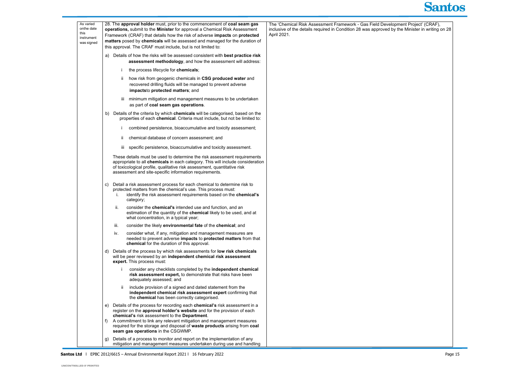| As varied<br>onthe date<br>this<br>instrument<br>was signed | 28. The approval holder must, prior to the commencement of coal seam gas<br>operations, submit to the Minister for approval a Chemical Risk Assessment<br>Framework (CRAF) that details how the risk of adverse impacts on protected<br>matters posed by chemicals will be assessed and managed for the duration of<br>this approval. The CRAF must include, but is not limited to:                          | The 'Chemical Risk Assessment Framework - Gas Field Development Project' (CRAF),<br>inclusive of the details required in Condition 28 was approved by the Minister in writing on 28<br>April 2021. |
|-------------------------------------------------------------|--------------------------------------------------------------------------------------------------------------------------------------------------------------------------------------------------------------------------------------------------------------------------------------------------------------------------------------------------------------------------------------------------------------|----------------------------------------------------------------------------------------------------------------------------------------------------------------------------------------------------|
|                                                             | Details of how the risks will be assessed consistent with best practice risk<br>a)<br>assessment methodology, and how the assessment will address:                                                                                                                                                                                                                                                           |                                                                                                                                                                                                    |
|                                                             | the process lifecycle for chemicals;                                                                                                                                                                                                                                                                                                                                                                         |                                                                                                                                                                                                    |
|                                                             | how risk from geogenic chemicals in CSG produced water and<br>Ш.<br>recovered drilling fluids will be managed to prevent adverse<br>impactsto protected matters; and                                                                                                                                                                                                                                         |                                                                                                                                                                                                    |
|                                                             | minimum mitigation and management measures to be undertaken<br>iii -<br>as part of coal seam gas operations.                                                                                                                                                                                                                                                                                                 |                                                                                                                                                                                                    |
|                                                             | Details of the criteria by which chemicals will be categorised, based on the<br>b)<br>properties of each chemical. Criteria must include, but not be limited to:                                                                                                                                                                                                                                             |                                                                                                                                                                                                    |
|                                                             | combined persistence, bioaccumulative and toxicity assessment;                                                                                                                                                                                                                                                                                                                                               |                                                                                                                                                                                                    |
|                                                             | chemical database of concern assessment; and                                                                                                                                                                                                                                                                                                                                                                 |                                                                                                                                                                                                    |
|                                                             | specific persistence, bioaccumulative and toxicity assessment.<br>iii.                                                                                                                                                                                                                                                                                                                                       |                                                                                                                                                                                                    |
|                                                             | These details must be used to determine the risk assessment requirements<br>appropriate to all chemicals in each category. This will include consideration<br>of toxicological profile, qualitative risk assessment, quantitative risk<br>assessment and site-specific information requirements.                                                                                                             |                                                                                                                                                                                                    |
|                                                             | Detail a risk assessment process for each chemical to determine risk to<br>C)<br>protected matters from the chemical's use. This process must:<br>identify the risk assessment requirements based on the chemical's<br>L.<br>category;                                                                                                                                                                       |                                                                                                                                                                                                    |
|                                                             | consider the <b>chemical's</b> intended use and function, and an<br>ii.<br>estimation of the quantity of the chemical likely to be used, and at<br>what concentration, in a typical year;                                                                                                                                                                                                                    |                                                                                                                                                                                                    |
|                                                             | consider the likely environmental fate of the chemical; and<br>iii.                                                                                                                                                                                                                                                                                                                                          |                                                                                                                                                                                                    |
|                                                             | consider what, if any, mitigation and management measures are<br>iv.<br>needed to prevent adverse impacts to protected matters from that<br>chemical for the duration of this approval.                                                                                                                                                                                                                      |                                                                                                                                                                                                    |
|                                                             | Details of the process by which risk assessments for low risk chemicals<br>d)<br>will be peer reviewed by an independent chemical risk assessment<br>expert. This process must:                                                                                                                                                                                                                              |                                                                                                                                                                                                    |
|                                                             | consider any checklists completed by the independent chemical<br>risk assessment expert, to demonstrate that risks have been<br>adequately assessed; and                                                                                                                                                                                                                                                     |                                                                                                                                                                                                    |
|                                                             | include provision of a signed and dated statement from the<br>independent chemical risk assessment expert confirming that<br>the chemical has been correctly categorised.                                                                                                                                                                                                                                    |                                                                                                                                                                                                    |
|                                                             | Details of the process for recording each chemical's risk assessment in a<br>e)<br>register on the approval holder's website and for the provision of each<br>chemical's risk assessment to the Department.<br>A commitment to link any relevant mitigation and management measures<br>f)<br>required for the storage and disposal of waste products arising from coal<br>seam gas operations in the CSGWMP. |                                                                                                                                                                                                    |
|                                                             | Details of a process to monitor and report on the implementation of any<br>g)<br>mitigation and management measures undertaken during use and handling                                                                                                                                                                                                                                                       |                                                                                                                                                                                                    |

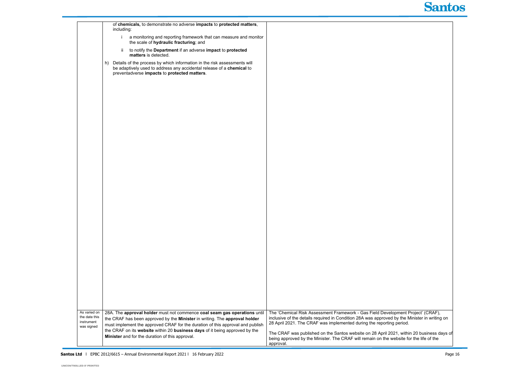|                                                           | including: | of chemicals, to demonstrate no adverse impacts to protected matters,                                                                                                                                                                     |                                                                                                                                                                                                                                                           |
|-----------------------------------------------------------|------------|-------------------------------------------------------------------------------------------------------------------------------------------------------------------------------------------------------------------------------------------|-----------------------------------------------------------------------------------------------------------------------------------------------------------------------------------------------------------------------------------------------------------|
|                                                           |            | a monitoring and reporting framework that can measure and monitor<br>the scale of hydraulic fracturing; and                                                                                                                               |                                                                                                                                                                                                                                                           |
|                                                           | ii.        | to notify the Department if an adverse impact to protected<br>matters is detected.                                                                                                                                                        |                                                                                                                                                                                                                                                           |
|                                                           | h)         | Details of the process by which information in the risk assessments will<br>be adaptively used to address any accidental release of a chemical to<br>preventadverse impacts to protected matters.                                         |                                                                                                                                                                                                                                                           |
|                                                           |            |                                                                                                                                                                                                                                           |                                                                                                                                                                                                                                                           |
|                                                           |            |                                                                                                                                                                                                                                           |                                                                                                                                                                                                                                                           |
|                                                           |            |                                                                                                                                                                                                                                           |                                                                                                                                                                                                                                                           |
|                                                           |            |                                                                                                                                                                                                                                           |                                                                                                                                                                                                                                                           |
|                                                           |            |                                                                                                                                                                                                                                           |                                                                                                                                                                                                                                                           |
|                                                           |            |                                                                                                                                                                                                                                           |                                                                                                                                                                                                                                                           |
|                                                           |            |                                                                                                                                                                                                                                           |                                                                                                                                                                                                                                                           |
|                                                           |            |                                                                                                                                                                                                                                           |                                                                                                                                                                                                                                                           |
|                                                           |            |                                                                                                                                                                                                                                           |                                                                                                                                                                                                                                                           |
|                                                           |            |                                                                                                                                                                                                                                           |                                                                                                                                                                                                                                                           |
|                                                           |            |                                                                                                                                                                                                                                           |                                                                                                                                                                                                                                                           |
|                                                           |            |                                                                                                                                                                                                                                           |                                                                                                                                                                                                                                                           |
|                                                           |            |                                                                                                                                                                                                                                           |                                                                                                                                                                                                                                                           |
|                                                           |            |                                                                                                                                                                                                                                           |                                                                                                                                                                                                                                                           |
|                                                           |            |                                                                                                                                                                                                                                           |                                                                                                                                                                                                                                                           |
|                                                           |            |                                                                                                                                                                                                                                           |                                                                                                                                                                                                                                                           |
|                                                           |            |                                                                                                                                                                                                                                           |                                                                                                                                                                                                                                                           |
|                                                           |            |                                                                                                                                                                                                                                           |                                                                                                                                                                                                                                                           |
|                                                           |            |                                                                                                                                                                                                                                           |                                                                                                                                                                                                                                                           |
| As varied on<br>the date this<br>instrument<br>was signed |            | 28A. The approval holder must not commence coal seam gas operations until<br>the CRAF has been approved by the Minister in writing. The approval holder<br>must implement the approved CRAF for the duration of this approval and publish | The 'Chemical Risk Assessment Framework - Gas Field Development Project' (CRAF),<br>inclusive of the details required in Condition 28A was approved by the Minister in writing on<br>28 April 2021. The CRAF was implemented during the reporting period. |
|                                                           |            | the CRAF on its website within 20 business days of it being approved by the<br>Minister and for the duration of this approval.                                                                                                            | The CRAF was published on the Santos website on 28 April 2021, within 20 business days of<br>being approved by the Minister. The CRAF will remain on the website for the life of the<br>approval.                                                         |

Santos Ltd | EPBC 2012/6615 – Annual Environmental Report 2021 | 16 February 2022

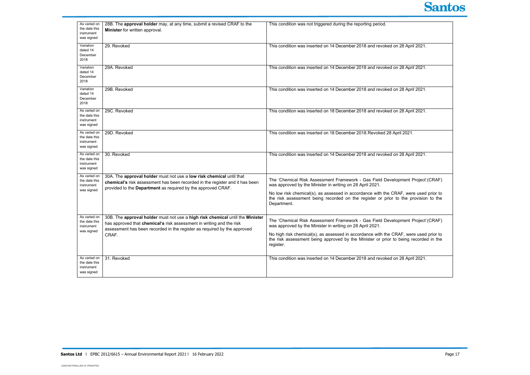| As varied on                  | 28B. The approval holder may, at any time, submit a revised CRAF to the       | This condition was not triggered during the reporting period.                         |
|-------------------------------|-------------------------------------------------------------------------------|---------------------------------------------------------------------------------------|
| the date this                 |                                                                               |                                                                                       |
| instrument                    | Minister for written approval.                                                |                                                                                       |
| was signed                    |                                                                               |                                                                                       |
| Variation                     | 29. Revoked                                                                   |                                                                                       |
| dated 14                      |                                                                               | This condition was inserted on 14 December 2018 and revoked on 28 April 2021.         |
| December                      |                                                                               |                                                                                       |
| 2018                          |                                                                               |                                                                                       |
|                               |                                                                               |                                                                                       |
| Variation<br>dated 14         | 29A. Revoked                                                                  | This condition was inserted on 14 December 2018 and revoked on 28 April 2021.         |
| December                      |                                                                               |                                                                                       |
| 2018                          |                                                                               |                                                                                       |
|                               |                                                                               |                                                                                       |
| Variation<br>dated 14         | 29B. Revoked                                                                  | This condition was inserted on 14 December 2018 and revoked on 28 April 2021.         |
| December                      |                                                                               |                                                                                       |
| 2018                          |                                                                               |                                                                                       |
|                               |                                                                               |                                                                                       |
| As varied on                  | 29C. Revoked                                                                  | This condition was inserted on 18 December 2018 and revoked on 28 April 2021.         |
| the date this<br>instrument   |                                                                               |                                                                                       |
| was signed                    |                                                                               |                                                                                       |
|                               |                                                                               |                                                                                       |
| As varied on<br>the date this | 29D. Revoked                                                                  | This condition was inserted on 18 December 2018. Revoked 28 April 2021.               |
| instrument                    |                                                                               |                                                                                       |
| was signed                    |                                                                               |                                                                                       |
|                               |                                                                               |                                                                                       |
| As varied on<br>the date this | 30. Revoked                                                                   | This condition was inserted on 14 December 2018 and revoked on 28 April 2021.         |
| instrument                    |                                                                               |                                                                                       |
| was signed                    |                                                                               |                                                                                       |
| As varied on                  |                                                                               |                                                                                       |
| the date this                 | 30A. The approval holder must not use a low risk chemical until that          | The 'Chemical Risk Assessment Framework - Gas Field Development Project' (CRAF)       |
| instrument                    | chemical's risk assessment has been recorded in the register and it has been  | was approved by the Minister in writing on 28 April 2021.                             |
| was signed                    | provided to the Department as required by the approved CRAF.                  |                                                                                       |
|                               |                                                                               | No low risk chemical(s), as assessed in accordance with the CRAF, were used prior to  |
|                               |                                                                               | the risk assessment being recorded on the register or prior to the provision to the   |
|                               |                                                                               | Department.                                                                           |
|                               |                                                                               |                                                                                       |
| As varied on                  | 30B. The approval holder must not use a high risk chemical until the Minister |                                                                                       |
| the date this                 | has approved that chemical's risk assessment in writing and the risk          | The 'Chemical Risk Assessment Framework - Gas Field Development Project' (CRAF)       |
| instrument                    | assessment has been recorded in the register as required by the approved      | was approved by the Minister in writing on 28 April 2021.                             |
| was signed                    | CRAF.                                                                         | No high risk chemical(s), as assessed in accordance with the CRAF, were used prior to |
|                               |                                                                               | the risk assessment being approved by the Minister or prior to being recorded in the  |
|                               |                                                                               | register.                                                                             |
|                               |                                                                               |                                                                                       |
| As varied on                  | 31. Revoked                                                                   | This condition was inserted on 14 December 2018 and revoked on 28 April 2021.         |
| the date this                 |                                                                               |                                                                                       |
| instrument                    |                                                                               |                                                                                       |
| was signed                    |                                                                               |                                                                                       |

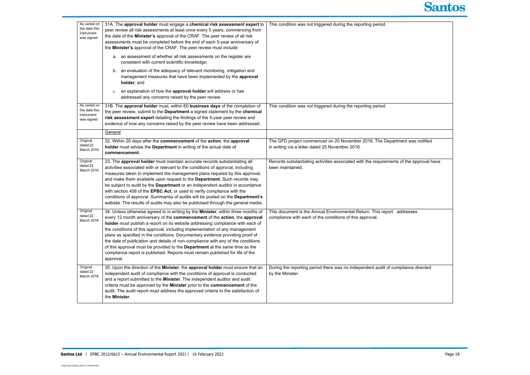| As varied on<br>the date this<br>instrument<br>was signed | 31A. The approval holder must engage a chemical risk assessment expert to<br>peer review all risk assessments at least once every 5 years, commencing from<br>the date of the Minister's approval of the CRAF. The peer review of all risk<br>assessments must be completed before the end of each 5-year anniversary of<br>the Minister's approval of the CRAF. The peer review must include:                                                                                                                                                                                                                                                                                     | This condition was not triggered during the reporting period.                                                                       |
|-----------------------------------------------------------|------------------------------------------------------------------------------------------------------------------------------------------------------------------------------------------------------------------------------------------------------------------------------------------------------------------------------------------------------------------------------------------------------------------------------------------------------------------------------------------------------------------------------------------------------------------------------------------------------------------------------------------------------------------------------------|-------------------------------------------------------------------------------------------------------------------------------------|
|                                                           | a. an assessment of whether all risk assessments on the register are<br>consistent with current scientific knowledge;                                                                                                                                                                                                                                                                                                                                                                                                                                                                                                                                                              |                                                                                                                                     |
|                                                           | an evaluation of the adequacy of relevant monitoring, mitigation and<br>b.<br>management measures that have been implemented by the approval<br>holder; and                                                                                                                                                                                                                                                                                                                                                                                                                                                                                                                        |                                                                                                                                     |
|                                                           | an explanation of how the approval holder will address or has<br>c.<br>addressed any concerns raised by the peer review.                                                                                                                                                                                                                                                                                                                                                                                                                                                                                                                                                           |                                                                                                                                     |
| As varied on<br>the date this<br>instrument<br>was signed | 31B. The approval holder must, within 60 business days of the completion of<br>the peer review, submit to the Department a signed statement by the chemical<br>risk assessment expert detailing the findings of the 5-year peer review and<br>evidence of how any concerns raised by the peer review have been addressed.                                                                                                                                                                                                                                                                                                                                                          | This condition was not triggered during the reporting period.                                                                       |
|                                                           | General                                                                                                                                                                                                                                                                                                                                                                                                                                                                                                                                                                                                                                                                            |                                                                                                                                     |
| Original<br>dated 22<br>March 2016                        | 32. Within 20 days after the commencement of the action, the approval<br>holder must advise the Department in writing of the actual date of<br>commencement.                                                                                                                                                                                                                                                                                                                                                                                                                                                                                                                       | The GFD project commenced on 20 November 2016. The Department was notified<br>in writing via a letter dated 25 November 2016.       |
| Original<br>dated 22<br>March 2016                        | 33. The approval holder must maintain accurate records substantiating all<br>activities associated with or relevant to the conditions of approval, including<br>measures taken to implement the management plans required by this approval,<br>and make them available upon request to the Department. Such records may<br>be subject to audit by the Department or an independent auditor in accordance<br>with section 458 of the EPBC Act, or used to verify compliance with the<br>conditions of approval. Summaries of audits will be posted on the Department's<br>website. The results of audits may also be publicised through the general media.                          | Records substantiating activities associated with the requirements of the approval have<br>been maintained.                         |
| Original<br>dated 22<br>March 2016                        | 34. Unless otherwise agreed to in writing by the Minister, within three months of<br>every 12 month anniversary of the commencement of the action, the approval<br>holder must publish a report on its website addressing compliance with each of<br>the conditions of this approval, including implementation of any management<br>plans as specified in the conditions. Documentary evidence providing proof of<br>the date of publication and details of non-compliance with any of the conditions<br>of this approval must be provided to the Department at the same time as the<br>compliance report is published. Reports must remain published for life of the<br>approval. | This document is the Annual Environmental Return. This report addresses<br>compliance with each of the conditions of this approval. |
| Original<br>dated 22<br>March 2016                        | 35. Upon the direction of the Minister, the approval holder must ensure that an<br>independent audit of compliance with the conditions of approval is conducted<br>and a report submitted to the Minister. The independent auditor and audit<br>criteria must be approved by the Minister prior to the commencement of the<br>audit. The audit report must address the approved criteria to the satisfaction of<br>the Minister.                                                                                                                                                                                                                                                   | During the reporting period there was no independent audit of compliance directed<br>by the Minister.                               |



| ent was notified     |
|----------------------|
| of the approval have |
|                      |
| dresses              |
|                      |
| pliance directed     |
|                      |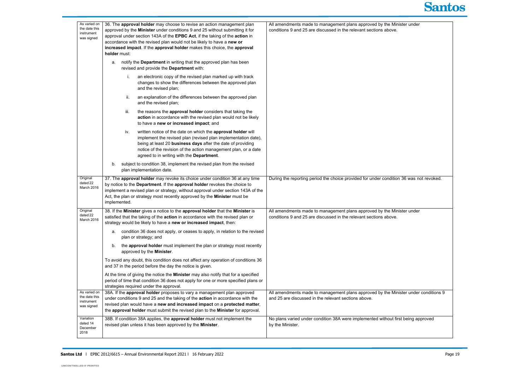| As varied on                                              |                                                                                                                                                                                                                                                                                                                                                                                                            |                                                                                                                                             |
|-----------------------------------------------------------|------------------------------------------------------------------------------------------------------------------------------------------------------------------------------------------------------------------------------------------------------------------------------------------------------------------------------------------------------------------------------------------------------------|---------------------------------------------------------------------------------------------------------------------------------------------|
| the date this<br>instrument<br>was signed                 | 36. The approval holder may choose to revise an action management plan<br>approved by the Minister under conditions 9 and 25 without submitting it for<br>approval under section 143A of the EPBC Act, if the taking of the action in<br>accordance with the revised plan would not be likely to have a new or<br>increased impact. If the approval holder makes this choice, the approval<br>holder must: | All amendments made to management plans approved by the Minister under<br>conditions 9 and 25 are discussed in the relevant sections above. |
|                                                           | notify the Department in writing that the approved plan has been<br>a.<br>revised and provide the Department with:                                                                                                                                                                                                                                                                                         |                                                                                                                                             |
|                                                           | an electronic copy of the revised plan marked up with track<br>changes to show the differences between the approved plan<br>and the revised plan;                                                                                                                                                                                                                                                          |                                                                                                                                             |
|                                                           | an explanation of the differences between the approved plan<br>ii.<br>and the revised plan;                                                                                                                                                                                                                                                                                                                |                                                                                                                                             |
|                                                           | iii.<br>the reasons the approval holder considers that taking the<br>action in accordance with the revised plan would not be likely<br>to have a new or increased impact; and                                                                                                                                                                                                                              |                                                                                                                                             |
|                                                           | written notice of the date on which the approval holder will<br>iv.<br>implement the revised plan (revised plan implementation date),<br>being at least 20 business days after the date of providing<br>notice of the revision of the action management plan, or a date<br>agreed to in writing with the Department.                                                                                       |                                                                                                                                             |
|                                                           | subject to condition 38, implement the revised plan from the revised<br>b.<br>plan implementation date.                                                                                                                                                                                                                                                                                                    |                                                                                                                                             |
| Original<br>dated 22<br>March 2016                        | 37. The approval holder may revoke its choice under condition 36 at any time<br>by notice to the Department. If the approval holder revokes the choice to<br>implement a revised plan or strategy, without approval under section 143A of the<br>Act, the plan or strategy most recently approved by the <b>Minister</b> must be<br>implemented.                                                           | During the reporting period the choice provided for under condition 36 was not revoked.                                                     |
| Original<br>dated 22<br>March 2016                        | 38. If the Minister gives a notice to the approval holder that the Minister is<br>satisfied that the taking of the action in accordance with the revised plan or<br>strategy would be likely to have a new or increased impact, then:                                                                                                                                                                      | All amendments made to management plans approved by the Minister under<br>conditions 9 and 25 are discussed in the relevant sections above. |
|                                                           | condition 36 does not apply, or ceases to apply, in relation to the revised<br>a.<br>plan or strategy; and                                                                                                                                                                                                                                                                                                 |                                                                                                                                             |
|                                                           | the approval holder must implement the plan or strategy most recently<br>b.<br>approved by the Minister.                                                                                                                                                                                                                                                                                                   |                                                                                                                                             |
|                                                           | To avoid any doubt, this condition does not affect any operation of conditions 36<br>and 37 in the period before the day the notice is given.                                                                                                                                                                                                                                                              |                                                                                                                                             |
|                                                           | At the time of giving the notice the Minister may also notify that for a specified<br>period of time that condition 36 does not apply for one or more specified plans or<br>strategies required under the approval.                                                                                                                                                                                        |                                                                                                                                             |
| As varied on<br>the date this<br>instrument<br>was signed | 38A. If the approval holder proposes to vary a management plan approved<br>under conditions 9 and 25 and the taking of the action in accordance with the<br>revised plan would have a new and increased impact on a protected matter,<br>the approval holder must submit the revised plan to the Minister for approval.                                                                                    | All amendments made to management plans approved by the Minister under conditions 9<br>and 25 are discussed in the relevant sections above. |
| Variation<br>dated 14<br>December<br>2018                 | 38B. If condition 38A applies, the approval holder must not implement the<br>revised plan unless it has been approved by the Minister.                                                                                                                                                                                                                                                                     | No plans varied under condition 38A were implemented without first being approved<br>by the Minister.                                       |



| ister under              |  |  |  |
|--------------------------|--|--|--|
|                          |  |  |  |
|                          |  |  |  |
|                          |  |  |  |
|                          |  |  |  |
|                          |  |  |  |
|                          |  |  |  |
|                          |  |  |  |
|                          |  |  |  |
|                          |  |  |  |
|                          |  |  |  |
|                          |  |  |  |
|                          |  |  |  |
| า 36 was not revoked.    |  |  |  |
|                          |  |  |  |
| ister under              |  |  |  |
|                          |  |  |  |
|                          |  |  |  |
|                          |  |  |  |
|                          |  |  |  |
|                          |  |  |  |
|                          |  |  |  |
| ister under conditions 9 |  |  |  |
|                          |  |  |  |
| st being approved        |  |  |  |
|                          |  |  |  |
|                          |  |  |  |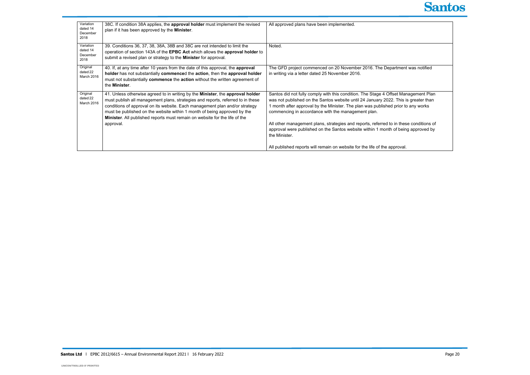| Variation<br>dated 14<br>December<br>2018 | 38C. If condition 38A applies, the approval holder must implement the revised<br>plan if it has been approved by the Minister.                                                                                                                                                                                                                                                                                          | All approved plans have been implemented.                                                                                                                                                                                                                                                                                                                                                                                                                                                                           |
|-------------------------------------------|-------------------------------------------------------------------------------------------------------------------------------------------------------------------------------------------------------------------------------------------------------------------------------------------------------------------------------------------------------------------------------------------------------------------------|---------------------------------------------------------------------------------------------------------------------------------------------------------------------------------------------------------------------------------------------------------------------------------------------------------------------------------------------------------------------------------------------------------------------------------------------------------------------------------------------------------------------|
| Variation<br>dated 14<br>December<br>2018 | 39. Conditions 36, 37, 38, 38A, 38B and 38C are not intended to limit the<br>operation of section 143A of the EPBC Act which allows the approval holder to<br>submit a revised plan or strategy to the <b>Minister</b> for approval.                                                                                                                                                                                    | Noted.                                                                                                                                                                                                                                                                                                                                                                                                                                                                                                              |
| Original<br>dated 22<br><b>March 2016</b> | 40. If, at any time after 10 years from the date of this approval, the approval<br>holder has not substantially commenced the action, then the approval holder<br>must not substantially commence the action without the written agreement of<br>the Minister.                                                                                                                                                          | The GFD project commenced on 20 November 2016. The Department was notified<br>in writing via a letter dated 25 November 2016.                                                                                                                                                                                                                                                                                                                                                                                       |
| Original<br>dated 22<br>March 2016        | 41. Unless otherwise agreed to in writing by the Minister, the approval holder<br>must publish all management plans, strategies and reports, referred to in these<br>conditions of approval on its website. Each management plan and/or strategy<br>must be published on the website within 1 month of being approved by the<br>Minister. All published reports must remain on website for the life of the<br>approval. | Santos did not fully comply with this condition. The Stage 4 Offset Management Plan<br>was not published on the Santos website until 24 January 2022. This is greater than<br>month after approval by the Minister. The plan was published prior to any works<br>commencing in accordance with the management plan.<br>All other management plans, strategies and reports, referred to in these conditions of<br>approval were published on the Santos website within 1 month of being approved by<br>the Minister. |
|                                           |                                                                                                                                                                                                                                                                                                                                                                                                                         | All published reports will remain on website for the life of the approval.                                                                                                                                                                                                                                                                                                                                                                                                                                          |